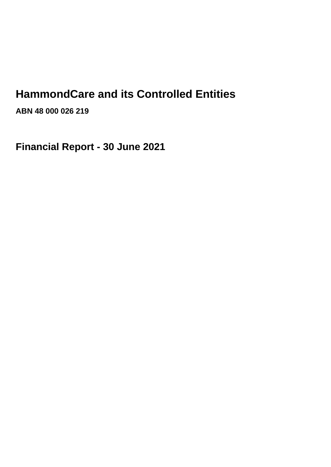# **HammondCare and its Controlled Entities**

**ABN 48 000 026 219**

**Financial Report - 30 June 2021**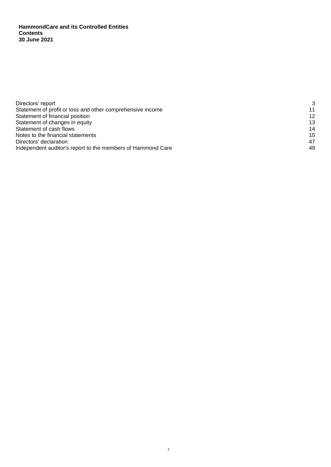**HammondCare and its Controlled Entities Contents 30 June 2021**

| Directors' report                                           | 3  |
|-------------------------------------------------------------|----|
| Statement of profit or loss and other comprehensive income  | 11 |
| Statement of financial position                             | 12 |
| Statement of changes in equity                              | 13 |
| Statement of cash flows                                     | 14 |
| Notes to the financial statements                           | 15 |
| Directors' declaration                                      | 47 |
| Independent auditor's report to the members of Hammond Care | 49 |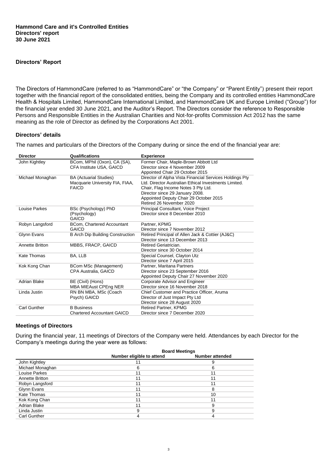## **Directors' Report**

The Directors of HammondCare (referred to as "HammondCare" or "the Company" or "Parent Entity") present their report together with the financial report of the consolidated entities, being the Company and its controlled entities HammondCare Health & Hospitals Limited, HammondCare International Limited, and HammondCare UK and Europe Limited ("Group") for the financial year ended 30 June 2021, and the Auditor's Report. The Directors consider the reference to Responsible Persons and Responsible Entities in the Australian Charities and Not-for-profits Commission Act 2012 has the same meaning as the role of Director as defined by the Corporations Act 2001.

## **Directors' details**

The names and particulars of the Directors of the Company during or since the end of the financial year are:

| <b>Director</b>      | Qualifications                          | <b>Experience</b>                                           |
|----------------------|-----------------------------------------|-------------------------------------------------------------|
| John Kightley        | BCom, MPhil (Oxon), CA (SA),            | Former Chair, Maple-Brown Abbott Ltd                        |
|                      | CFA Institute USA, GAICD                | Director since 4 November 2009                              |
|                      |                                         | Appointed Chair 29 October 2015                             |
| Michael Monaghan     | <b>BA (Actuarial Studies)</b>           | Director of Alpha Vista Financial Services Holdings Pty     |
|                      | Macquarie University FIA, FIAA,         | Ltd. Director Australian Ethical Investments Limited.       |
|                      | <b>FAICD</b>                            | Chair, Flag Income Notes 3 Pty Ltd.                         |
|                      |                                         | Director since 29 January 2008.                             |
|                      |                                         | Appointed Deputy Chair 29 October 2015                      |
|                      |                                         | Retired 26 November 2020                                    |
| <b>Louise Parkes</b> | BSc (Psychology) PhD                    | Principal Consultant, Voice Project                         |
|                      | (Psychology)                            | Director since 8 December 2010                              |
|                      | <b>GAICD</b>                            |                                                             |
| Robyn Langsford      | <b>BCom. Chartered Accountant</b>       | Partner, KPMG                                               |
|                      | <b>GAICD</b>                            | Director since 7 November 2012                              |
| Glynn Evans          | <b>B Arch Dip Building Construction</b> | Retired Principal of Allen Jack & Cottier (AJ&C)            |
|                      |                                         | Director since 13 December 2013                             |
| Annette Britton      | MBBS, FRACP, GAICD                      | Retired Geriatrician.                                       |
| Kate Thomas          |                                         | Director since 30 October 2014                              |
|                      | BA, LLB                                 | Special Counsel, Clayton Utz<br>Director since 7 April 2015 |
| Kok Kong Chan        | BCom MSc (Management)                   | Partner, Maritana Partners                                  |
|                      | <b>CPA Australia, GAICD</b>             | Director since 23 September 2016                            |
|                      |                                         | Appointed Deputy Chair 27 November 2020                     |
| <b>Adrian Blake</b>  | BE (Civil) (Hons)                       | Corporate Advisor and Engineer                              |
|                      | MBA MIEAust CPEng NER                   | Director since 16 November 2018                             |
| Linda Justin         | RN BN MBA, MSc (Coach                   | Chief Customer and Practice Officer, Aruma                  |
|                      | Psych) GAICD                            | Director of Just Impact Pty Ltd                             |
|                      |                                         | Director since 28 August 2020                               |
| Carl Gunther         | <b>B</b> Business                       | <b>Retired Partner, KPMG</b>                                |
|                      | <b>Chartered Accountant GAICD</b>       | Director since 7 December 2020                              |
|                      |                                         |                                                             |

## **Meetings of Directors**

During the financial year, 11 meetings of Directors of the Company were held. Attendances by each Director for the Company's meetings during the year were as follows:

|                        | <b>Board Meetings</b>     |                        |  |  |
|------------------------|---------------------------|------------------------|--|--|
|                        | Number eligible to attend | <b>Number attended</b> |  |  |
| John Kightley          | 11                        |                        |  |  |
| Michael Monaghan       | 6                         | 6                      |  |  |
| Louise Parkes          | 11                        | 11                     |  |  |
| <b>Annette Britton</b> | 11                        | 11                     |  |  |
| Robyn Langsford        | 11                        | 11                     |  |  |
| Glynn Evans            | 11                        | 8                      |  |  |
| Kate Thomas            | 11                        | 10                     |  |  |
| Kok Kong Chan          | 11                        | 11                     |  |  |
| <b>Adrian Blake</b>    | 11                        | 9                      |  |  |
| Linda Justin           | 9                         | 9                      |  |  |
| Carl Gunther           |                           |                        |  |  |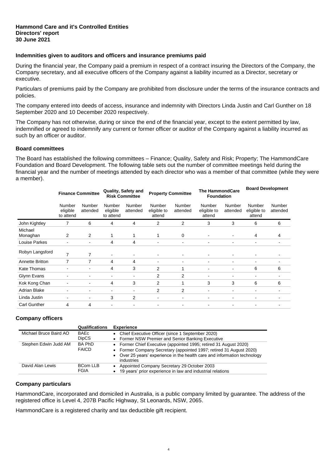## **Indemnities given to auditors and officers and insurance premiums paid**

During the financial year, the Company paid a premium in respect of a contract insuring the Directors of the Company, the Company secretary, and all executive officers of the Company against a liability incurred as a Director, secretary or executive.

Particulars of premiums paid by the Company are prohibited from disclosure under the terms of the insurance contracts and policies.

The company entered into deeds of access, insurance and indemnity with Directors Linda Justin and Carl Gunther on 18 September 2020 and 10 December 2020 respectively.

The Company has not otherwise, during or since the end of the financial year, except to the extent permitted by law, indemnified or agreed to indemnify any current or former officer or auditor of the Company against a liability incurred as such by an officer or auditor.

## **Board committees**

The Board has established the following committees – Finance; Quality, Safety and Risk; Property; The HammondCare Foundation and Board Development. The following table sets out the number of committee meetings held during the financial year and the number of meetings attended by each director who was a member of that committee (while they were a member).

|                      |                                 | <b>Finance Committee</b> |                                 | Quality, Safety and<br><b>Risk Committee</b> | <b>Property Committee</b>       |                    | <b>The HammondCare</b><br><b>Foundation</b> |                              | <b>Board Development</b>        |                          |
|----------------------|---------------------------------|--------------------------|---------------------------------|----------------------------------------------|---------------------------------|--------------------|---------------------------------------------|------------------------------|---------------------------------|--------------------------|
|                      | Number<br>eligible<br>to attend | Number<br>attended       | Number<br>eligible<br>to attend | Number<br>attended                           | Number<br>eligible to<br>attend | Number<br>attended | Number<br>eligible to<br>attend             | Number<br>attended           | Number<br>eligible to<br>attend | Number<br>attended       |
| John Kightley        | 7                               | 6                        | 4                               | 4                                            | 2                               | 2                  | 3                                           | 3                            | 6                               | 6                        |
| Michael<br>Monaghan  | 2                               | $\overline{2}$           | 1                               |                                              | 1                               | 0                  | $\blacksquare$                              | $\blacksquare$               | 4                               | 4                        |
| <b>Louise Parkes</b> |                                 |                          | 4                               | 4                                            | ۰                               | $\blacksquare$     | ۰                                           | ٠                            | $\blacksquare$                  |                          |
| Robyn Langsford      | 7                               | 7                        | $\qquad \qquad \blacksquare$    | $\qquad \qquad \blacksquare$                 | $\blacksquare$                  | $\blacksquare$     |                                             | $\qquad \qquad \blacksquare$ |                                 |                          |
| Annette Britton      | $\overline{7}$                  | $\overline{7}$           | 4                               | 4                                            | $\blacksquare$                  | $\blacksquare$     | ۰                                           | $\blacksquare$               | $\blacksquare$                  | $\blacksquare$           |
| <b>Kate Thomas</b>   |                                 |                          | 4                               | 3                                            | 2                               | 1                  | ۰                                           | $\blacksquare$               | 6                               | 6                        |
| Glynn Evans          |                                 |                          | $\overline{\phantom{0}}$        | ٠                                            | $\overline{2}$                  | $\overline{2}$     |                                             | $\blacksquare$               | $\blacksquare$                  | $\overline{\phantom{a}}$ |
| Kok Kong Chan        |                                 | ۰                        | 4                               | 3                                            | 2                               | 1                  | 3                                           | 3                            | 6                               | 6                        |
| <b>Adrian Blake</b>  |                                 |                          | ۰                               | ٠                                            | 2                               | 2                  | ٠                                           | ۰                            | $\blacksquare$                  |                          |
| Linda Justin         | ۰                               | ۰                        | 3                               | 2                                            | $\blacksquare$                  | $\blacksquare$     | ۰                                           | ۰                            | $\blacksquare$                  |                          |
| <b>Carl Gunther</b>  | 4                               | 4                        |                                 |                                              |                                 |                    |                                             |                              |                                 |                          |

## **Company officers**

|                        | <b>Qualifications</b>         | <b>Experience</b>                                                                                                                                                                                                                   |
|------------------------|-------------------------------|-------------------------------------------------------------------------------------------------------------------------------------------------------------------------------------------------------------------------------------|
| Michael Bruce Baird AO | BAEc<br><b>DipCS</b>          | • Chief Executive Officer (since 1 September 2020)<br>• Former NSW Premier and Senior Banking Executive                                                                                                                             |
| Stephen Edwin Judd AM  | <b>BA PhD</b><br><b>FAICD</b> | • Former Chief Executive (appointed 1995; retired 31 August 2020)<br>• Former Company Secretary (appointed 1997; retired 31 August 2020)<br>• Over 25 years' experience in the health care and information technology<br>industries |
| David Alan Lewis       | BCom LLB<br>FGIA              | Appointed Company Secretary 29 October 2003<br>19 years' prior experience in law and industrial relations                                                                                                                           |

#### **Company particulars**

HammondCare, incorporated and domiciled in Australia, is a public company limited by guarantee. The address of the registered office is Level 4, 207B Pacific Highway, St Leonards, NSW, 2065.

HammondCare is a registered charity and tax deductible gift recipient.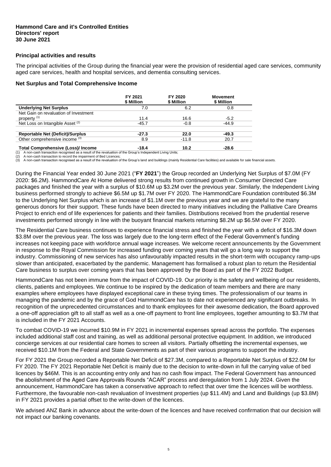## **Principal activities and results**

The principal activities of the Group during the financial year were the provision of residential aged care services, community aged care services, health and hospital services, and dementia consulting services.

## **Net Surplus and Total Comprehensive Income**

|                                           | FY 2021<br>\$ Million | FY 2020<br>\$ Million | <b>Movement</b><br>\$ Million |
|-------------------------------------------|-----------------------|-----------------------|-------------------------------|
| <b>Underlying Net Surplus</b>             | 7.0                   | 6.2                   | 0.8                           |
| Net Gain on revaluation of Investment     |                       |                       |                               |
| property <sup>(1)</sup>                   | 11.4                  | 16.6                  | $-5.2$                        |
| Net Loss on Intangible Asset (2)          | $-45.7$               | $-0.8$                | $-44.9$                       |
| <b>Reportable Net (Deficit)/Surplus</b>   | $-27.3$               | 22.0                  | $-49.3$                       |
| Other comprehensive income (3)            | 8.9                   | $-11.8$               | 20.7                          |
| <b>Total Comprehensive (Loss)/ Income</b> | $-18.4$               | 10.2                  | $-28.6$                       |

A non-cash transaction recognised as a result of the revaluation of the Group's Independent Living Units;

A non-cash transaction to record the impairment of Bed Licences;

(3) A non-cash transaction recognised as a result of the revaluation of the Group's land and buildings (mainly Residential Care facilities) and available for sale financial assets.

During the Financial Year ended 30 June 2021 ("**FY 2021**") the Group recorded an Underlying Net Surplus of \$7.0M (FY 2020: \$6.2M). HammondCare At Home delivered strong results from continued growth in Consumer Directed Care packages and finished the year with a surplus of \$10.6M up \$3.2M over the previous year. Similarly, the Independent Living business performed strongly to achieve \$6.5M up \$1.7M over FY 2020. The HammondCare Foundation contributed \$6.3M to the Underlying Net Surplus which is an increase of \$1.1M over the previous year and we are grateful to the many generous donors for their support. These funds have been directed to many initiatives including the Palliative Care Dreams Project to enrich end of life experiences for patients and their families. Distributions received from the prudential reserve investments performed strongly in line with the buoyant financial markets returning \$8.2M up \$6.5M over FY 2020.

The Residential Care business continues to experience financial stress and finished the year with a deficit of \$16.3M down \$3.8M over the previous year. The loss was largely due to the long-term effect of the Federal Government's funding increases not keeping pace with workforce annual wage increases. We welcome recent announcements by the Government in response to the Royal Commission for increased funding over coming years that will go a long way to support the industry. Commissioning of new services has also unfavourably impacted results in the short-term with occupancy ramp-ups slower than anticipated, exacerbated by the pandemic. Management has formalised a robust plan to return the Residential Care business to surplus over coming years that has been approved by the Board as part of the FY 2022 Budget.

HammondCare has not been immune from the impact of COVID-19. Our priority is the safety and wellbeing of our residents, clients, patients and employees. We continue to be inspired by the dedication of team members and there are many examples where employees have displayed exceptional care in these trying times. The professionalism of our teams in managing the pandemic and by the grace of God HammondCare has to date not experienced any significant outbreaks. In recognition of the unprecedented circumstances and to thank employees for their awesome dedication, the Board approved a one-off appreciation gift to all staff as well as a one-off payment to front line employees, together amounting to \$3.7M that is included in the FY 2021 Accounts.

To combat COVID-19 we incurred \$10.9M in FY 2021 in incremental expenses spread across the portfolio. The expenses included additional staff cost and training, as well as additional personal protective equipment. In addition, we introduced concierge services at our residential care homes to screen all visitors. Partially offsetting the incremental expenses, we received \$10.1M from the Federal and State Governments as part of their various programs to support the industry.

For FY 2021 the Group recorded a Reportable Net Deficit of \$27.3M, compared to a Reportable Net Surplus of \$22.0M for FY 2020. The FY 2021 Reportable Net Deficit is mainly due to the decision to write-down in full the carrying value of bed licences by \$46M. This is an accounting entry only and has no cash flow impact. The Federal Government has announced the abolishment of the Aged Care Approvals Rounds "ACAR" process and deregulation from 1 July 2024. Given the announcement, HammondCare has taken a conservative approach to reflect that over time the licences will be worthless. Furthermore, the favourable non-cash revaluation of Investment properties (up \$11.4M) and Land and Buildings (up \$3.8M) in FY 2021 provides a partial offset to the write-down of the licences.

We advised ANZ Bank in advance about the write-down of the licences and have received confirmation that our decision will not impact our banking covenants.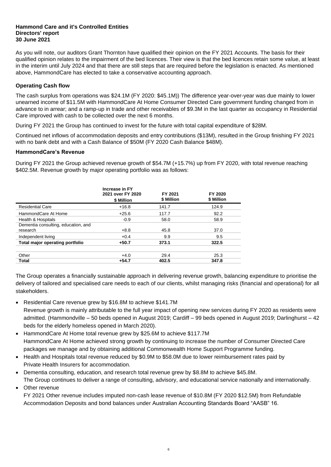As you will note, our auditors Grant Thornton have qualified their opinion on the FY 2021 Accounts. The basis for their qualified opinion relates to the impairment of the bed licences. Their view is that the bed licences retain some value, at least in the interim until July 2024 and that there are still steps that are required before the legislation is enacted. As mentioned above, HammondCare has elected to take a conservative accounting approach.

## **Operating Cash flow**

The cash surplus from operations was \$24.1M (FY 2020: \$45.1M)) The difference year-over-year was due mainly to lower unearned income of \$11.5M with HammondCare At Home Consumer Directed Care government funding changed from in advance to in arrear; and a ramp-up in trade and other receivables of \$9.3M in the last quarter as occupancy in Residential Care improved with cash to be collected over the next 6 months.

During FY 2021 the Group has continued to invest for the future with total capital expenditure of \$28M.

Continued net inflows of accommodation deposits and entry contributions (\$13M), resulted in the Group finishing FY 2021 with no bank debt and with a Cash Balance of \$50M (FY 2020 Cash Balance \$48M).

## **HammondCare's Revenue**

During FY 2021 the Group achieved revenue growth of \$54.7M (+15.7%) up from FY 2020, with total revenue reaching \$402.5M. Revenue growth by major operating portfolio was as follows:

|                                                 | <b>Increase in FY</b><br>2021 over FY 2020<br>\$ Million | FY 2021<br>\$ Million | FY 2020<br>\$ Million |
|-------------------------------------------------|----------------------------------------------------------|-----------------------|-----------------------|
| <b>Residential Care</b>                         | $+16.8$                                                  | 141.7                 | 124.9                 |
| HammondCare At Home                             | $+25.6$                                                  | 117.7                 | 92.2                  |
| Health & Hospitals                              | $-0.9$                                                   | 58.0                  | 58.9                  |
| Dementia consulting, education, and<br>research | $+8.8$                                                   | 45.8                  | 37.0                  |
| Independent living                              | $+0.4$                                                   | 9.9                   | 9.5                   |
| Total major operating portfolio                 | $+50.7$                                                  | 373.1                 | 322.5                 |
| Other                                           | $+4.0$                                                   | 29.4                  | 25.3                  |
| Total                                           | $+54.7$                                                  | 402.5                 | 347.8                 |

The Group operates a financially sustainable approach in delivering revenue growth, balancing expenditure to prioritise the delivery of tailored and specialised care needs to each of our clients, whilst managing risks (financial and operational) for all stakeholders.

- Residential Care revenue grew by \$16.8M to achieve \$141.7M Revenue growth is mainly attributable to the full year impact of opening new services during FY 2020 as residents were admitted. (Hammondville – 50 beds opened in August 2019; Cardiff – 99 beds opened in August 2019; Darlinghurst – 42 beds for the elderly homeless opened in March 2020).
- HammondCare At Home total revenue grew by \$25.6M to achieve \$117.7M HammondCare At Home achieved strong growth by continuing to increase the number of Consumer Directed Care packages we manage and by obtaining additional Commonwealth Home Support Programme funding.
- Health and Hospitals total revenue reduced by \$0.9M to \$58.0M due to lower reimbursement rates paid by Private Health Insurers for accommodation.
- Dementia consulting, education, and research total revenue grew by \$8.8M to achieve \$45.8M.
- The Group continues to deliver a range of consulting, advisory, and educational service nationally and internationally. • Other revenue

FY 2021 Other revenue includes imputed non-cash lease revenue of \$10.8M (FY 2020 \$12.5M) from Refundable Accommodation Deposits and bond balances under Australian Accounting Standards Board "AASB" 16.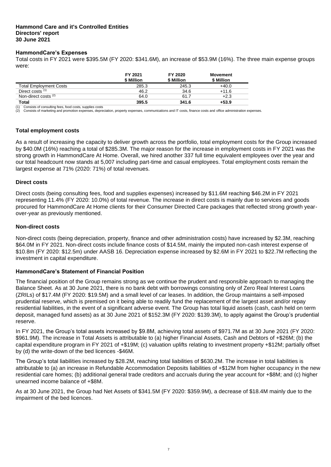## **HammondCare's Expenses**

Total costs in FY 2021 were \$395.5M (FY 2020: \$341.6M), an increase of \$53.9M (16%). The three main expense groups were:

|                                 | FY 2021<br>\$ Million | FY 2020<br>\$ Million | Movement<br>\$ Million |
|---------------------------------|-----------------------|-----------------------|------------------------|
| <b>Total Employment Costs</b>   | 285.3                 | 245.3                 | $+40.0$                |
| Direct costs (1)                | 46.2                  | 34.6                  | $+11.6$                |
| Non-direct costs <sup>(2)</sup> | 64.0                  | 61.7                  | $+2.3$                 |
| Total                           | 395.5                 | 341.6                 | $+53.9$                |

Consists of consulting fees, food costs, supplies costs

(2) Consists of marketing and promotion expenses, depreciation, property expenses, communications and IT costs, finance costs and office administration expenses.

## **Total employment costs**

As a result of increasing the capacity to deliver growth across the portfolio, total employment costs for the Group increased by \$40.0M (16%) reaching a total of \$285.3M. The major reason for the increase in employment costs in FY 2021 was the strong growth in HammondCare At Home. Overall, we hired another 337 full time equivalent employees over the year and our total headcount now stands at 5,007 including part-time and casual employees. Total employment costs remain the largest expense at 71% (2020: 71%) of total revenues.

## **Direct costs**

Direct costs (being consulting fees, food and supplies expenses) increased by \$11.6M reaching \$46.2M in FY 2021 representing 11.4% (FY 2020: 10.0%) of total revenue. The increase in direct costs is mainly due to services and goods procured for HammondCare At Home clients for their Consumer Directed Care packages that reflected strong growth yearover-year as previously mentioned.

## **Non-direct costs**

Non-direct costs (being depreciation, property, finance and other administration costs) have increased by \$2.3M, reaching \$64.0M in FY 2021. Non-direct costs include finance costs of \$14.5M, mainly the imputed non-cash interest expense of \$10.8m (FY 2020: \$12.5m) under AASB 16. Depreciation expense increased by \$2.6M in FY 2021 to \$22.7M reflecting the investment in capital expenditure.

## **HammondCare's Statement of Financial Position**

The financial position of the Group remains strong as we continue the prudent and responsible approach to managing the Balance Sheet. As at 30 June 2021, there is no bank debt with borrowings consisting only of Zero Real Interest Loans (ZRILs) of \$17.4M (FY 2020: \$19.5M) and a small level of car leases. In addition, the Group maintains a self-imposed prudential reserve, which is premised on it being able to readily fund the replacement of the largest asset and/or repay residential liabilities, in the event of a significant adverse event. The Group has total liquid assets (cash, cash held on term deposit, managed fund assets) as at 30 June 2021 of \$152.3M (FY 2020: \$139.3M), to apply against the Group's prudential reserve.

In FY 2021, the Group's total assets increased by \$9.8M, achieving total assets of \$971.7M as at 30 June 2021 (FY 2020: \$961.9M). The increase in Total Assets is attributable to (a) higher Financial Assets, Cash and Debtors of +\$26M; (b) the capital expenditure program in FY 2021 of +\$19M; (c) valuation uplifts relating to investment property +\$12M; partially offset by (d) the write-down of the bed licences -\$46M.

The Group's total liabilities increased by \$28.2M, reaching total liabilities of \$630.2M. The increase in total liabilities is attributable to (a) an increase in Refundable Accommodation Deposits liabilities of +\$12M from higher occupancy in the new residential care homes; (b) additional general trade creditors and accruals during the year account for +\$8M; and (c) higher unearned income balance of +\$8M.

As at 30 June 2021, the Group had Net Assets of \$341.5M (FY 2020: \$359.9M), a decrease of \$18.4M mainly due to the impairment of the bed licences.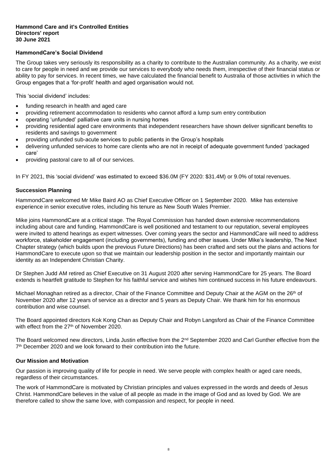## **HammondCare's Social Dividend**

The Group takes very seriously its responsibility as a charity to contribute to the Australian community. As a charity, we exist to care for people in need and we provide our services to everybody who needs them, irrespective of their financial status or ability to pay for services. In recent times, we have calculated the financial benefit to Australia of those activities in which the Group engages that a 'for-profit' health and aged organisation would not.

This 'social dividend' includes:

- funding research in health and aged care
- providing retirement accommodation to residents who cannot afford a lump sum entry contribution
- operating 'unfunded' palliative care units in nursing homes
- providing residential aged care environments that independent researchers have shown deliver significant benefits to residents and savings to government
- providing unfunded sub-acute services to public patients in the Group's hospitals
- delivering unfunded services to home care clients who are not in receipt of adequate government funded 'packaged care'
- providing pastoral care to all of our services.

In FY 2021, this 'social dividend' was estimated to exceed \$36.0M (FY 2020: \$31.4M) or 9.0% of total revenues.

## **Succession Planning**

HammondCare welcomed Mr Mike Baird AO as Chief Executive Officer on 1 September 2020. Mike has extensive experience in senior executive roles, including his tenure as New South Wales Premier.

Mike joins HammondCare at a critical stage. The Royal Commission has handed down extensive recommendations including about care and funding. HammondCare is well positioned and testament to our reputation, several employees were invited to attend hearings as expert witnesses. Over coming years the sector and HammondCare will need to address workforce, stakeholder engagement (including governments), funding and other issues. Under Mike's leadership, The Next Chapter strategy (which builds upon the previous Future Directions) has been crafted and sets out the plans and actions for HammondCare to execute upon so that we maintain our leadership position in the sector and importantly maintain our identity as an Independent Christian Charity.

Dr Stephen Judd AM retired as Chief Executive on 31 August 2020 after serving HammondCare for 25 years. The Board extends is heartfelt gratitude to Stephen for his faithful service and wishes him continued success in his future endeavours.

Michael Monaghan retired as a director, Chair of the Finance Committee and Deputy Chair at the AGM on the 26<sup>th</sup> of November 2020 after 12 years of service as a director and 5 years as Deputy Chair. We thank him for his enormous contribution and wise counsel.

The Board appointed directors Kok Kong Chan as Deputy Chair and Robyn Langsford as Chair of the Finance Committee with effect from the 27<sup>th</sup> of November 2020.

The Board welcomed new directors, Linda Justin effective from the 2<sup>nd</sup> September 2020 and Carl Gunther effective from the 7<sup>th</sup> December 2020 and we look forward to their contribution into the future.

#### **Our Mission and Motivation**

Our passion is improving quality of life for people in need. We serve people with complex health or aged care needs, regardless of their circumstances.

The work of HammondCare is motivated by Christian principles and values expressed in the words and deeds of Jesus Christ. HammondCare believes in the value of all people as made in the image of God and as loved by God. We are therefore called to show the same love, with compassion and respect, for people in need.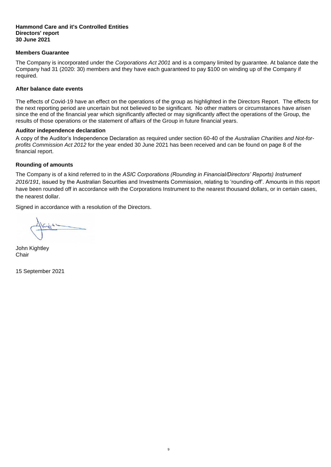## **Members Guarantee**

The Company is incorporated under the *Corporations Act 2001* and is a company limited by guarantee. At balance date the Company had 31 (2020: 30) members and they have each guaranteed to pay \$100 on winding up of the Company if required.

## **After balance date events**

The effects of Covid-19 have an effect on the operations of the group as highlighted in the Directors Report. The effects for the next reporting period are uncertain but not believed to be significant. No other matters or circumstances have arisen since the end of the financial year which significantly affected or may significantly affect the operations of the Group, the results of those operations or the statement of affairs of the Group in future financial years.

## **Auditor independence declaration**

A copy of the Auditor's Independence Declaration as required under section 60-40 of the *Australian Charities and Not-forprofits Commission Act 2012* for the year ended 30 June 2021 has been received and can be found on page 8 of the financial report.

## **Rounding of amounts**

The Company is of a kind referred to in the *ASIC Corporations (Rounding in Financial/Directors' Reports) Instrument 2016/191*, issued by the Australian Securities and Investments Commission, relating to 'rounding-off'. Amounts in this report have been rounded off in accordance with the Corporations Instrument to the nearest thousand dollars, or in certain cases, the nearest dollar.

9

Signed in accordance with a resolution of the Directors.

**John Kightley Chair** 

15 September 2021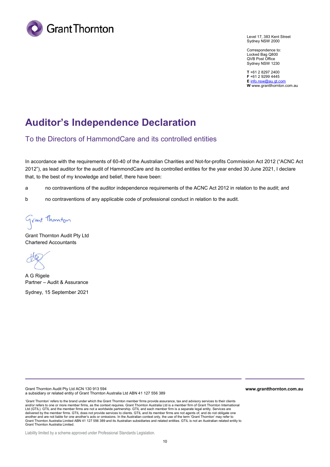

Level 17, 383 Kent Street Sydney NSW 2000

Correspondence to: Locked Bag Q800 QVB Post Office Sydney NSW 1230

**T** +61 2 8297 2400 **F** +61 2 9299 4445 **E** info.nsw@au.gt.com **W** www.grantthornton.com.au

# **Auditor's Independence Declaration**

To the Directors of HammondCare and its controlled entities

In accordance with the requirements of 60-40 of the Australian Charities and Not-for-profits Commission Act 2012 ("ACNC Act 2012"), as lead auditor for the audit of HammondCare and its controlled entities for the year ended 30 June 2021, I declare that, to the best of my knowledge and belief, there have been:

a no contraventions of the auditor independence requirements of the ACNC Act 2012 in relation to the audit; and

b no contraventions of any applicable code of professional conduct in relation to the audit.

Grant Thomton

Grant Thornton Audit Pty Ltd Chartered Accountants

A G Rigele Partner – Audit & Assurance

Sydney, 15 September 2021

Grant Thornton Audit Pty Ltd ACN 130 913 594 a subsidiary or related entity of Grant Thornton Australia Ltd ABN 41 127 556 389

'Grant Thornton' refers to the brand under which the Grant Thornton member firms provide assurance, tax and advisory services to their clients and/or refers to one or more member firms, as the context requires. Grant Thornton Australia Ltd is a member firm of Grant Thornton International Ltd (GTIL). GTIL and the member firms are not a worldwide partnership. GTIL and each member firm is a separate legal entity. Services are delivered by the member firms. GTIL does not provide services to clients. GTIL and its member firms are not agents of, and do not obligate one<br>another and are not liable for one another's acts or omissions. In the Australi Grant Thornton Australia Limited ABN 41 127 556 389 and its Australian subsidiaries and related entities. GTIL is not an Australian related entity to Grant Thornton Australia Limited.

Liability limited by a scheme approved under Professional Standards Legislation.

**www.grantthornton.com.au**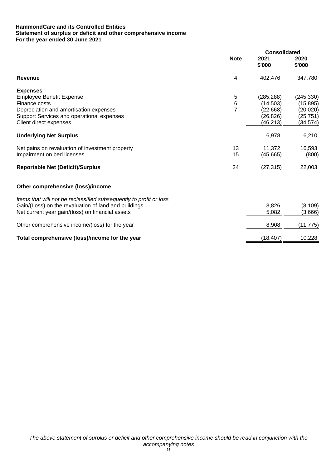## **HammondCare and its Controlled Entities Statement of surplus or deficit and other comprehensive income For the year ended 30 June 2021**

|                                                                    |                | <b>Consolidated</b> |                |
|--------------------------------------------------------------------|----------------|---------------------|----------------|
|                                                                    | <b>Note</b>    | 2021<br>\$'000      | 2020<br>\$'000 |
| Revenue                                                            | 4              | 402,476             | 347,780        |
| <b>Expenses</b>                                                    |                |                     |                |
| <b>Employee Benefit Expense</b>                                    | 5              | (285, 288)          | (245, 330)     |
| Finance costs                                                      | 6              | (14, 503)           | (15, 895)      |
| Depreciation and amortisation expenses                             | $\overline{7}$ | (22, 668)           | (20, 020)      |
| Support Services and operational expenses                          |                | (26, 826)           | (25, 751)      |
| Client direct expenses                                             |                | (46,213)            | (34,574)       |
| <b>Underlying Net Surplus</b>                                      |                | 6,978               | 6,210          |
| Net gains on revaluation of investment property                    | 13             | 11,372              | 16,593         |
| Impairment on bed licenses                                         | 15             | (45, 665)           | (800)          |
| <b>Reportable Net (Deficit)/Surplus</b>                            | 24             | (27, 315)           | 22,003         |
| Other comprehensive (loss)/income                                  |                |                     |                |
| Items that will not be reclassified subsequently to profit or loss |                |                     |                |
| Gain/(Loss) on the revaluation of land and buildings               |                | 3,826               | (8, 109)       |
| Net current year gain/(loss) on financial assets                   |                | 5,082               | (3,666)        |
| Other comprehensive income/(loss) for the year                     |                | 8,908               | (11, 775)      |
| Total comprehensive (loss)/income for the year                     |                | (18, 407)           | 10,228         |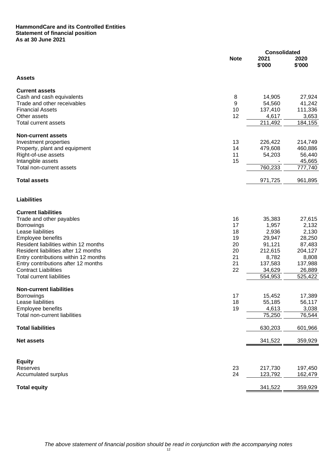## **HammondCare and its Controlled Entities Statement of financial position As at 30 June 2021**

|                                       |             | <b>Consolidated</b> |                |  |
|---------------------------------------|-------------|---------------------|----------------|--|
|                                       | <b>Note</b> | 2021<br>\$'000      | 2020<br>\$'000 |  |
| <b>Assets</b>                         |             |                     |                |  |
| <b>Current assets</b>                 |             |                     |                |  |
| Cash and cash equivalents             | 8           | 14,905              | 27,924         |  |
| Trade and other receivables           | 9           | 54,560              | 41,242         |  |
| <b>Financial Assets</b>               | 10          | 137,410             | 111,336        |  |
| Other assets                          | 12          | 4,617               | 3,653          |  |
| Total current assets                  |             | 211,492             | 184,155        |  |
| <b>Non-current assets</b>             |             |                     |                |  |
| Investment properties                 | 13          | 226,422             | 214,749        |  |
| Property, plant and equipment         | 14          | 479,608             | 460,886        |  |
| Right-of-use assets                   | 11          | 54,203              | 56,440         |  |
| Intangible assets                     | 15          |                     | 45,665         |  |
| Total non-current assets              |             | 760,233             | 777,740        |  |
| <b>Total assets</b>                   |             | 971,725             | 961,895        |  |
| <b>Liabilities</b>                    |             |                     |                |  |
| <b>Current liabilities</b>            |             |                     |                |  |
| Trade and other payables              | 16          | 35,383              | 27,615         |  |
| <b>Borrowings</b>                     | 17          | 1,957               | 2,132          |  |
| Lease liabilities                     | 18          | 2,936               | 2,130          |  |
| <b>Employee benefits</b>              | 19          | 29,947              | 28,250         |  |
| Resident liabilities within 12 months | 20          | 91,121              | 87,483         |  |
| Resident liabilities after 12 months  | 20          | 212,615             | 204,127        |  |
| Entry contributions within 12 months  | 21          | 8,782               | 8,808          |  |
| Entry contributions after 12 months   | 21          | 137,583             | 137,988        |  |
| <b>Contract Liabilities</b>           | 22          | 34,629              | 26,889         |  |
| <b>Total current liabilities</b>      |             | 554,953             | 525,422        |  |
| <b>Non-current liabilities</b>        |             |                     |                |  |
| <b>Borrowings</b>                     | 17          | 15,452              | 17,389         |  |
| Lease liabilities                     | 18          | 55,185              | 56,117         |  |
| Employee benefits                     | 19          | 4,613               | 3,038          |  |
| Total non-current liabilities         |             | 75,250              | 76,544         |  |
| <b>Total liabilities</b>              |             | 630,203             | 601,966        |  |
| <b>Net assets</b>                     |             | 341,522             | 359,929        |  |
|                                       |             |                     |                |  |
| <b>Equity</b><br>Reserves             | 23          | 217,730             | 197,450        |  |
| Accumulated surplus                   | 24          | 123,792             | 162,479        |  |
| <b>Total equity</b>                   |             | 341,522             | 359,929        |  |
|                                       |             |                     |                |  |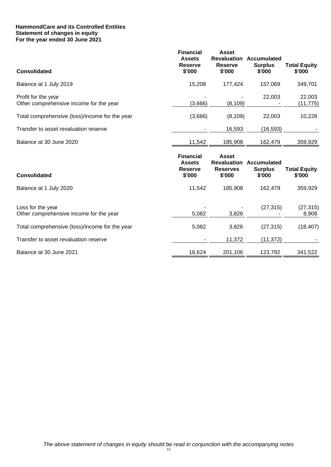## **HammondCare and its Controlled Entities Statement of changes in equity For the year ended 30 June 2021**

| <b>Consolidated</b>                                            | <b>Financial</b><br><b>Assets</b><br><b>Reserve</b><br>\$'000 | <b>Asset</b><br><b>Revaluation</b><br><b>Reserve</b><br>\$'000  | Accumulated<br><b>Surplus</b><br>\$'000 | <b>Total Equity</b><br>\$'000 |
|----------------------------------------------------------------|---------------------------------------------------------------|-----------------------------------------------------------------|-----------------------------------------|-------------------------------|
| Balance at 1 July 2019                                         | 15,208                                                        | 177,424                                                         | 157,069                                 | 349,701                       |
| Profit for the year<br>Other comprehensive income for the year | (3,666)                                                       | (8, 109)                                                        | 22,003                                  | 22,003<br>(11,775)            |
| Total comprehensive (loss)/income for the year                 | (3,666)                                                       | (8, 109)                                                        | 22,003                                  | 10,228                        |
| Transfer to asset revaluation reserve                          |                                                               | 16,593                                                          | (16, 593)                               |                               |
| Balance at 30 June 2020                                        | 11,542                                                        | 185,908                                                         | 162,479                                 | 359,929                       |
| Consolidated                                                   | <b>Financial</b><br><b>Assets</b><br><b>Reserve</b><br>\$'000 | <b>Asset</b><br><b>Revaluation</b><br><b>Reserves</b><br>\$'000 | Accumulated<br><b>Surplus</b><br>\$'000 | <b>Total Equity</b><br>\$'000 |
| Balance at 1 July 2020                                         | 11,542                                                        | 185,908                                                         | 162,479                                 | 359,929                       |
| Loss for the year<br>Other comprehensive income for the year   | 5,082                                                         | 3,826                                                           | (27, 315)                               | (27, 315)<br>8,908            |
| Total comprehensive (loss)/income for the year                 | 5,082                                                         | 3,826                                                           | (27, 315)                               | (18, 407)                     |
|                                                                |                                                               |                                                                 |                                         |                               |
| Transfer to asset revaluation reserve                          |                                                               | 11,372                                                          | (11, 372)                               |                               |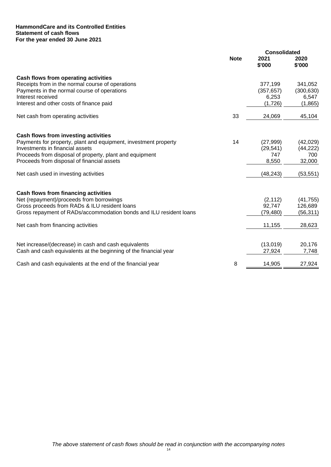## **HammondCare and its Controlled Entities Statement of cash flows For the year ended 30 June 2021**

|                                                                                                                          |             | <b>Consolidated</b> |                 |  |
|--------------------------------------------------------------------------------------------------------------------------|-------------|---------------------|-----------------|--|
|                                                                                                                          | <b>Note</b> | 2021<br>\$'000      | 2020<br>\$'000  |  |
| Cash flows from operating activities                                                                                     |             |                     |                 |  |
| Receipts from in the normal course of operations                                                                         |             | 377,199             | 341,052         |  |
| Payments in the normal course of operations                                                                              |             | (357, 657)          | (300, 630)      |  |
| Interest received                                                                                                        |             | 6,253               | 6,547           |  |
| Interest and other costs of finance paid                                                                                 |             | (1,726)             | (1,865)         |  |
| Net cash from operating activities                                                                                       | 33          | 24,069              | 45,104          |  |
| Cash flows from investing activities                                                                                     |             |                     |                 |  |
| Payments for property, plant and equipment, investment property                                                          | 14          | (27, 999)           | (42,029)        |  |
| Investments in financial assets                                                                                          |             | (29, 541)           | (44, 222)       |  |
| Proceeds from disposal of property, plant and equipment                                                                  |             | 747                 | 700             |  |
| Proceeds from disposal of financial assets                                                                               |             | 8,550               | 32,000          |  |
| Net cash used in investing activities                                                                                    |             | (48, 243)           | (53, 551)       |  |
| Cash flows from financing activities                                                                                     |             |                     |                 |  |
| Net (repayment)/proceeds from borrowings                                                                                 |             | (2, 112)            | (41, 755)       |  |
| Gross proceeds from RADs & ILU resident loans                                                                            |             | 92,747              | 126,689         |  |
| Gross repayment of RADs/accommodation bonds and ILU resident loans                                                       |             | (79, 480)           | (56, 311)       |  |
| Net cash from financing activities                                                                                       |             | 11,155              | 28,623          |  |
|                                                                                                                          |             |                     |                 |  |
| Net increase/(decrease) in cash and cash equivalents<br>Cash and cash equivalents at the beginning of the financial year |             | (13,019)<br>27,924  | 20,176<br>7,748 |  |
|                                                                                                                          |             |                     |                 |  |
| Cash and cash equivalents at the end of the financial year                                                               | 8           | 14,905              | 27,924          |  |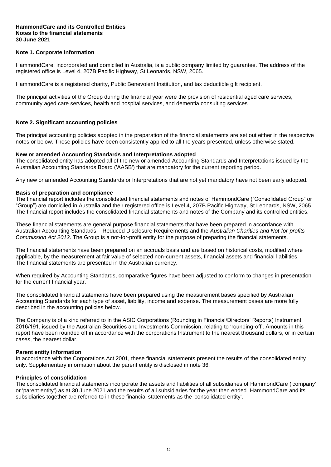#### **HammondCare and its Controlled Entities Notes to the financial statements 30 June 2021**

## **Note 1. Corporate Information**

HammondCare, incorporated and domiciled in Australia, is a public company limited by guarantee. The address of the registered office is Level 4, 207B Pacific Highway, St Leonards, NSW, 2065.

HammondCare is a registered charity, Public Benevolent Institution, and tax deductible gift recipient.

The principal activities of the Group during the financial year were the provision of residential aged care services, community aged care services, health and hospital services, and dementia consulting services

## **Note 2. Significant accounting policies**

The principal accounting policies adopted in the preparation of the financial statements are set out either in the respective notes or below. These policies have been consistently applied to all the years presented, unless otherwise stated.

## **New or amended Accounting Standards and Interpretations adopted**

The consolidated entity has adopted all of the new or amended Accounting Standards and Interpretations issued by the Australian Accounting Standards Board ('AASB') that are mandatory for the current reporting period.

Any new or amended Accounting Standards or Interpretations that are not yet mandatory have not been early adopted.

#### **Basis of preparation and compliance**

The financial report includes the consolidated financial statements and notes of HammondCare ("Consolidated Group" or "Group") are domiciled in Australia and their registered office is Level 4, 207B Pacific Highway, St Leonards, NSW, 2065. The financial report includes the consolidated financial statements and notes of the Company and its controlled entities.

These financial statements are general purpose financial statements that have been prepared in accordance with Australian Accounting Standards – Reduced Disclosure Requirements and the *Australian Charities and Not-for-profits Commission Act 2012*. The Group is a not-for-profit entity for the purpose of preparing the financial statements.

The financial statements have been prepared on an accruals basis and are based on historical costs, modified where applicable, by the measurement at fair value of selected non-current assets, financial assets and financial liabilities. The financial statements are presented in the Australian currency.

When required by Accounting Standards, comparative figures have been adjusted to conform to changes in presentation for the current financial year.

The consolidated financial statements have been prepared using the measurement bases specified by Australian Accounting Standards for each type of asset, liability, income and expense. The measurement bases are more fully described in the accounting policies below.

The Company is of a kind referred to in the ASIC Corporations (Rounding in Financial/Directors' Reports) Instrument 2016/191, issued by the Australian Securities and Investments Commission, relating to 'rounding-off'. Amounts in this report have been rounded off in accordance with the corporations Instrument to the nearest thousand dollars, or in certain cases, the nearest dollar.

#### **Parent entity information**

In accordance with the Corporations Act 2001, these financial statements present the results of the consolidated entity only. Supplementary information about the parent entity is disclosed in note 36.

#### **Principles of consolidation**

The consolidated financial statements incorporate the assets and liabilities of all subsidiaries of HammondCare ('company' or 'parent entity') as at 30 June 2021 and the results of all subsidiaries for the year then ended. HammondCare and its subsidiaries together are referred to in these financial statements as the 'consolidated entity'.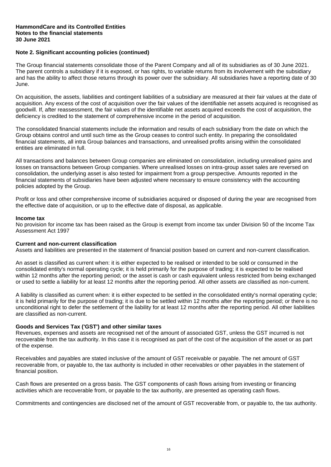## **Note 2. Significant accounting policies (continued)**

The Group financial statements consolidate those of the Parent Company and all of its subsidiaries as of 30 June 2021. The parent controls a subsidiary if it is exposed, or has rights, to variable returns from its involvement with the subsidiary and has the ability to affect those returns through its power over the subsidiary. All subsidiaries have a reporting date of 30 June.

On acquisition, the assets, liabilities and contingent liabilities of a subsidiary are measured at their fair values at the date of acquisition. Any excess of the cost of acquisition over the fair values of the identifiable net assets acquired is recognised as goodwill. If, after reassessment, the fair values of the identifiable net assets acquired exceeds the cost of acquisition, the deficiency is credited to the statement of comprehensive income in the period of acquisition.

The consolidated financial statements include the information and results of each subsidiary from the date on which the Group obtains control and until such time as the Group ceases to control such entity. In preparing the consolidated financial statements, all intra Group balances and transactions, and unrealised profits arising within the consolidated entities are eliminated in full.

All transactions and balances between Group companies are eliminated on consolidation, including unrealised gains and losses on transactions between Group companies. Where unrealised losses on intra-group asset sales are reversed on consolidation, the underlying asset is also tested for impairment from a group perspective. Amounts reported in the financial statements of subsidiaries have been adjusted where necessary to ensure consistency with the accounting policies adopted by the Group.

Profit or loss and other comprehensive income of subsidiaries acquired or disposed of during the year are recognised from the effective date of acquisition, or up to the effective date of disposal, as applicable.

#### **Income tax**

No provision for income tax has been raised as the Group is exempt from income tax under Division 50 of the Income Tax Assessment Act 1997

#### **Current and non-current classification**

Assets and liabilities are presented in the statement of financial position based on current and non-current classification.

An asset is classified as current when: it is either expected to be realised or intended to be sold or consumed in the consolidated entity's normal operating cycle; it is held primarily for the purpose of trading; it is expected to be realised within 12 months after the reporting period; or the asset is cash or cash equivalent unless restricted from being exchanged or used to settle a liability for at least 12 months after the reporting period. All other assets are classified as non-current.

A liability is classified as current when: it is either expected to be settled in the consolidated entity's normal operating cycle; it is held primarily for the purpose of trading; it is due to be settled within 12 months after the reporting period; or there is no unconditional right to defer the settlement of the liability for at least 12 months after the reporting period. All other liabilities are classified as non-current.

#### **Goods and Services Tax ('GST') and other similar taxes**

Revenues, expenses and assets are recognised net of the amount of associated GST, unless the GST incurred is not recoverable from the tax authority. In this case it is recognised as part of the cost of the acquisition of the asset or as part of the expense.

Receivables and payables are stated inclusive of the amount of GST receivable or payable. The net amount of GST recoverable from, or payable to, the tax authority is included in other receivables or other payables in the statement of financial position.

Cash flows are presented on a gross basis. The GST components of cash flows arising from investing or financing activities which are recoverable from, or payable to the tax authority, are presented as operating cash flows.

Commitments and contingencies are disclosed net of the amount of GST recoverable from, or payable to, the tax authority.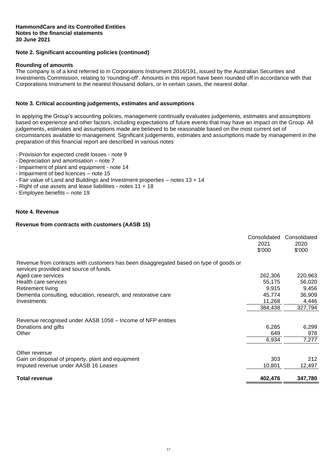## **Note 2. Significant accounting policies (continued)**

#### **Rounding of amounts**

The company is of a kind referred to in Corporations Instrument 2016/191, issued by the Australian Securities and Investments Commission, relating to 'rounding-off'. Amounts in this report have been rounded off in accordance with that Corporations Instrument to the nearest thousand dollars, or in certain cases, the nearest dollar.

## **Note 3. Critical accounting judgements, estimates and assumptions**

In applying the Group's accounting policies, management continually evaluates judgements, estimates and assumptions based on experience and other factors, including expectations of future events that may have an impact on the Group. All judgements, estimates and assumptions made are believed to be reasonable based on the most current set of circumstances available to management. Significant judgements, estimates and assumptions made by management in the preparation of this financial report are described in various notes

- Provision for expected credit losses note 9
- Depreciation and amortisation note 7
- Impairment of plant and equipment note 14
- Impairment of bed licences note 15
- Fair value of Land and Buildings and Investment properties notes 13 + 14
- Right of use assets and lease liabilities notes 11 + 18
- Employee benefits note 19

## **Note 4. Revenue**

## **Revenue from contracts with customers (AASB 15)**

| Revenue from contracts with customers has been disaggregated based on type of goods or |         |         |
|----------------------------------------------------------------------------------------|---------|---------|
| services provided and source of funds.                                                 |         |         |
| Aged care services                                                                     | 262,306 | 220,963 |
| Health care services                                                                   | 55,175  | 56,020  |
| Retirement living                                                                      | 9,915   | 9,456   |
| Dementia consulting, education, research, and restorative care                         | 45,774  | 36,909  |
| Investments                                                                            | 11,268  | 4,446   |
|                                                                                        | 384,438 | 327,794 |
| Revenue recognised under AASB 1058 – Income of NFP entities                            |         |         |
| Donations and gifts                                                                    | 6,285   | 6,299   |
| Other                                                                                  | 649     | 978     |
|                                                                                        | 6,934   | 7,277   |
| Other revenue                                                                          |         |         |
| Gain on disposal of property, plant and equipment                                      | 303     | 212     |
| Imputed revenue under AASB 16 Leases                                                   | 10,801  | 12,497  |
| <b>Total revenue</b>                                                                   | 402,476 | 347,780 |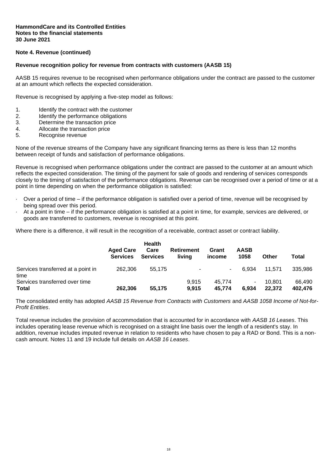## **Note 4. Revenue (continued)**

#### **Revenue recognition policy for revenue from contracts with customers (AASB 15)**

AASB 15 requires revenue to be recognised when performance obligations under the contract are passed to the customer at an amount which reflects the expected consideration.

Revenue is recognised by applying a five-step model as follows:

- 1. Identify the contract with the customer
- 2. Identify the performance obligations
- 3. Determine the transaction price
- 4. Allocate the transaction price
- 5. Recognise revenue

None of the revenue streams of the Company have any significant financing terms as there is less than 12 months between receipt of funds and satisfaction of performance obligations.

Revenue is recognised when performance obligations under the contract are passed to the customer at an amount which reflects the expected consideration. The timing of the payment for sale of goods and rendering of services corresponds closely to the timing of satisfaction of the performance obligations. Revenue can be recognised over a period of time or at a point in time depending on when the performance obligation is satisfied:

- Over a period of time if the performance obligation is satisfied over a period of time, revenue will be recognised by being spread over this period.
- · At a point in time if the performance obligation is satisfied at a point in time, for example, services are delivered, or goods are transferred to customers, revenue is recognised at this point.

Where there is a difference, it will result in the recognition of a receivable, contract asset or contract liability.

|                                                | <b>Aged Care</b><br><b>Services</b> | <b>Health</b><br>Care<br><b>Services</b> | <b>Retirement</b><br>livina | Grant<br>income  | <b>AASB</b><br>1058 | Other            | Total             |
|------------------------------------------------|-------------------------------------|------------------------------------------|-----------------------------|------------------|---------------------|------------------|-------------------|
| Services transferred at a point in<br>time     | 262,306                             | 55.175                                   | ۰                           | $\sim$           | 6.934               | 11.571           | 335.986           |
| Services transferred over time<br><b>Total</b> | 262.306                             | 55,175                                   | 9.915<br>9.915              | 45.774<br>45,774 | ۰.<br>6.934         | 10.801<br>22,372 | 66.490<br>402,476 |

The consolidated entity has adopted *AASB 15 Revenue from Contracts with Customers* and *AASB 1058 Income of Not-for-Profit Entities*.

Total revenue includes the provision of accommodation that is accounted for in accordance with *AASB 16 Leases*. This includes operating lease revenue which is recognised on a straight line basis over the length of a resident's stay. In addition, revenue includes imputed revenue in relation to residents who have chosen to pay a RAD or Bond. This is a noncash amount. Notes 11 and 19 include full details on *AASB 16 Leases*.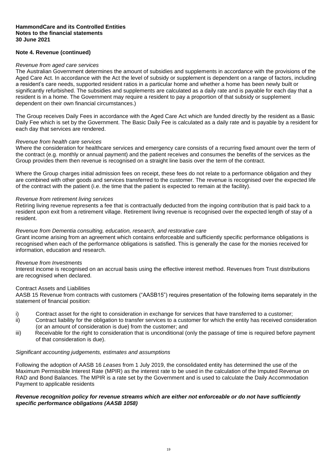## **Note 4. Revenue (continued)**

#### *Revenue from aged care services*

The Australian Government determines the amount of subsidies and supplements in accordance with the provisions of the Aged Care Act. In accordance with the Act the level of subsidy or supplement is dependent on a range of factors, including a resident's care needs, supported resident ratios in a particular home and whether a home has been newly built or significantly refurbished. The subsidies and supplements are calculated as a daily rate and is payable for each day that a resident is in a home. The Government may require a resident to pay a proportion of that subsidy or supplement dependent on their own financial circumstances.)

The Group receives Daily Fees in accordance with the Aged Care Act which are funded directly by the resident as a Basic Daily Fee which is set by the Government. The Basic Daily Fee is calculated as a daily rate and is payable by a resident for each day that services are rendered.

#### *Revenue from health care services*

Where the consideration for healthcare services and emergency care consists of a recurring fixed amount over the term of the contract (e.g. monthly or annual payment) and the patient receives and consumes the benefits of the services as the Group provides them then revenue is recognised on a straight line basis over the term of the contract.

Where the Group charges initial admission fees on receipt, these fees do not relate to a performance obligation and they are combined with other goods and services transferred to the customer. The revenue is recognised over the expected life of the contract with the patient (i.e. the time that the patient is expected to remain at the facility).

#### *Revenue from retirement living services*

Retiring living revenue represents a fee that is contractually deducted from the ingoing contribution that is paid back to a resident upon exit from a retirement village. Retirement living revenue is recognised over the expected length of stay of a resident.

#### *Revenue from Dementia consulting, education, research, and restorative care*

Grant income arising from an agreement which contains enforceable and sufficiently specific performance obligations is recognised when each of the performance obligations is satisfied. This is generally the case for the monies received for information, education and research.

#### *Revenue from Investments*

Interest income is recognised on an accrual basis using the effective interest method. Revenues from Trust distributions are recognised when declared.

#### Contract Assets and Liabilities

AASB 15 Revenue from contracts with customers ("AASB15") requires presentation of the following items separately in the statement of financial position:

- i) Contract asset for the right to consideration in exchange for services that have transferred to a customer:
- ii) Contract liability for the obligation to transfer services to a customer for which the entity has received consideration (or an amount of consideration is due) from the customer; and
- iii) Receivable for the right to consideration that is unconditional (only the passage of time is required before payment of that consideration is due).

#### *Significant accounting judgements, estimates and assumptions*

Following the adoption of AASB 16 *Leases* from 1 July 2019, the consolidated entity has determined the use of the Maximum Permissible Interest Rate (MPIR) as the interest rate to be used in the calculation of the Imputed Revenue on RAD and Bond Balances. The MPIR is a rate set by the Government and is used to calculate the Daily Accommodation Payment to applicable residents

## *Revenue recognition policy for revenue streams which are either not enforceable or do not have sufficiently specific performance obligations (AASB 1058)*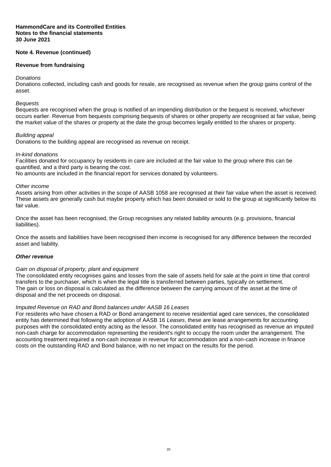## **Note 4. Revenue (continued)**

## **Revenue from fundraising**

#### *Donations*

Donations collected, including cash and goods for resale, are recognised as revenue when the group gains control of the asset.

#### *Bequests*

Bequests are recognised when the group is notified of an impending distribution or the bequest is received, whichever occurs earlier. Revenue from bequests comprising bequests of shares or other property are recognised at fair value, being the market value of the shares or property at the date the group becomes legally entitled to the shares or property.

## *Building appeal*

Donations to the building appeal are recognised as revenue on receipt.

#### *In-kind donations*

Facilities donated for occupancy by residents in care are included at the fair value to the group where this can be quantified, and a third party is bearing the cost.

No amounts are included in the financial report for services donated by volunteers.

#### *Other income*

Assets arising from other activities in the scope of AASB 1058 are recognised at their fair value when the asset is received. These assets are generally cash but maybe property which has been donated or sold to the group at significantly below its fair value.

Once the asset has been recognised, the Group recognises any related liability amounts (e.g. provisions, financial liabilities).

Once the assets and liabilities have been recognised then income is recognised for any difference between the recorded asset and liability.

#### *Other revenue*

#### *Gain on disposal of property, plant and equipment*

The consolidated entity recognises gains and losses from the sale of assets held for sale at the point in time that control transfers to the purchaser, which is when the legal title is transferred between parties, typically on settlement. The gain or loss on disposal is calculated as the difference between the carrying amount of the asset at the time of disposal and the net proceeds on disposal.

#### *Imputed Revenue on RAD and Bond balances under AASB 16 Leases*

For residents who have chosen a RAD or Bond arrangement to receive residential aged care services, the consolidated entity has determined that following the adoption of AASB 16 *Leases*, these are lease arrangements for accounting purposes with the consolidated entity acting as the lessor. The consolidated entity has recognised as revenue an imputed non-cash charge for accommodation representing the resident's right to occupy the room under the arrangement. The accounting treatment required a non-cash increase in revenue for accommodation and a non-cash increase in finance costs on the outstanding RAD and Bond balance, with no net impact on the results for the period.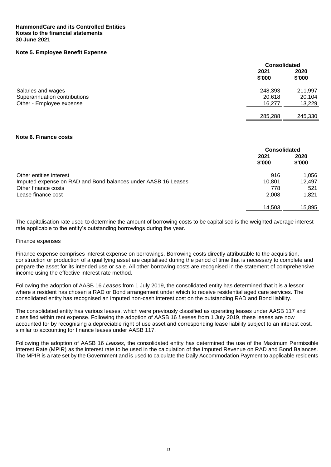## **Note 5. Employee Benefit Expense**

|                              |                | <b>Consolidated</b> |  |
|------------------------------|----------------|---------------------|--|
|                              | 2021<br>\$'000 | 2020<br>\$'000      |  |
| Salaries and wages           | 248,393        | 211,997             |  |
| Superannuation contributions | 20,618         | 20,104              |  |
| Other - Employee expense     | 16,277         | 13,229              |  |
|                              | 285,288        | 245,330             |  |

#### **Note 6. Finance costs**

|                                                               | <b>Consolidated</b> |                |
|---------------------------------------------------------------|---------------------|----------------|
|                                                               | 2021<br>\$'000      | 2020<br>\$'000 |
| Other entities interest                                       | 916                 | 1,056          |
| Imputed expense on RAD and Bond balances under AASB 16 Leases | 10.801              | 12,497         |
| Other finance costs                                           | 778                 | 521            |
| Lease finance cost                                            | 2,008               | 1,821          |
|                                                               | 14,503              | 15,895         |

The capitalisation rate used to determine the amount of borrowing costs to be capitalised is the weighted average interest rate applicable to the entity's outstanding borrowings during the year.

#### Finance expenses

Finance expense comprises interest expense on borrowings. Borrowing costs directly attributable to the acquisition, construction or production of a qualifying asset are capitalised during the period of time that is necessary to complete and prepare the asset for its intended use or sale. All other borrowing costs are recognised in the statement of comprehensive income using the effective interest rate method.

Following the adoption of AASB 16 *Leases* from 1 July 2019, the consolidated entity has determined that it is a lessor where a resident has chosen a RAD or Bond arrangement under which to receive residential aged care services. The consolidated entity has recognised an imputed non-cash interest cost on the outstanding RAD and Bond liability.

The consolidated entity has various leases, which were previously classified as operating leases under AASB 117 and classified within rent expense. Following the adoption of AASB 16 *Leases* from 1 July 2019, these leases are now accounted for by recognising a depreciable right of use asset and corresponding lease liability subject to an interest cost, similar to accounting for finance leases under AASB 117.

Following the adoption of AASB 16 *Leases*, the consolidated entity has determined the use of the Maximum Permissible Interest Rate (MPIR) as the interest rate to be used in the calculation of the Imputed Revenue on RAD and Bond Balances. The MPIR is a rate set by the Government and is used to calculate the Daily Accommodation Payment to applicable residents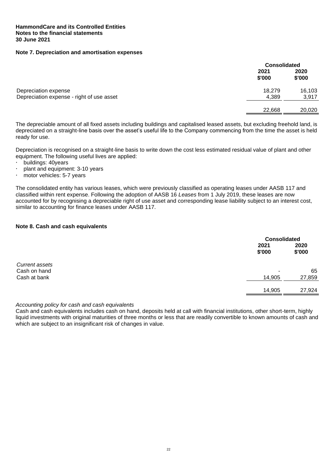## **Note 7. Depreciation and amortisation expenses**

|                | <b>Consolidated</b> |  |
|----------------|---------------------|--|
| 2021<br>\$'000 | 2020<br>\$'000      |  |
| 18,279         | 16,103              |  |
| 4,389          | 3,917               |  |
| 22,668         | 20,020              |  |
|                |                     |  |

The depreciable amount of all fixed assets including buildings and capitalised leased assets, but excluding freehold land, is depreciated on a straight-line basis over the asset's useful life to the Company commencing from the time the asset is held ready for use.

Depreciation is recognised on a straight-line basis to write down the cost less estimated residual value of plant and other equipment. The following useful lives are applied:

- $\cdot$  buildings: 40 years
- $\cdot$  plant and equipment: 3-10 years
- motor vehicles: 5-7 years

The consolidated entity has various leases, which were previously classified as operating leases under AASB 117 and classified within rent expense. Following the adoption of AASB 16 *Leases* from 1 July 2019, these leases are now accounted for by recognising a depreciable right of use asset and corresponding lease liability subject to an interest cost, similar to accounting for finance leases under AASB 117.

#### **Note 8. Cash and cash equivalents**

|                                |                | <b>Consolidated</b> |  |
|--------------------------------|----------------|---------------------|--|
|                                | 2021<br>\$'000 | 2020<br>\$'000      |  |
| Current assets<br>Cash on hand | -              | 65                  |  |
| Cash at bank                   | 14,905         | 27,859              |  |
|                                | 14,905         | 27,924              |  |

*Accounting policy for cash and cash equivalents*

Cash and cash equivalents includes cash on hand, deposits held at call with financial institutions, other short-term, highly liquid investments with original maturities of three months or less that are readily convertible to known amounts of cash and which are subject to an insignificant risk of changes in value.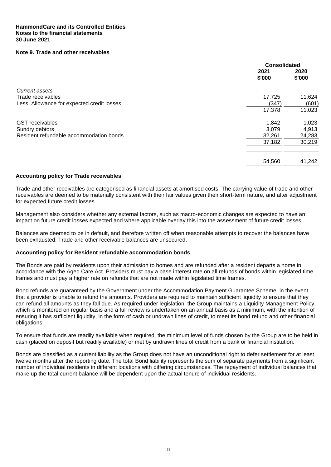## **Note 9. Trade and other receivables**

|                                            | <b>Consolidated</b> |                |
|--------------------------------------------|---------------------|----------------|
|                                            | 2021<br>\$'000      | 2020<br>\$'000 |
| Current assets                             |                     |                |
| Trade receivables                          | 17,725              | 11,624         |
| Less: Allowance for expected credit losses | (347)               | (601)          |
|                                            | 17,378              | 11,023         |
| <b>GST</b> receivables                     | 1,842               | 1,023          |
| Sundry debtors                             | 3,079               | 4,913          |
| Resident refundable accommodation bonds    | 32,261              | 24,283         |
|                                            | 37,182              | 30,219         |
|                                            | 54,560              | 41,242         |

#### **Accounting policy for Trade receivables**

Trade and other receivables are categorised as financial assets at amortised costs. The carrying value of trade and other receivables are deemed to be materially consistent with their fair values given their short-term nature, and after adjustment for expected future credit losses.

Management also considers whether any external factors, such as macro-economic changes are expected to have an impact on future credit losses expected and where applicable overlay this into the assessment of future credit losses.

Balances are deemed to be in default, and therefore written off when reasonable attempts to recover the balances have been exhausted. Trade and other receivable balances are unsecured.

## **Accounting policy for Resident refundable accommodation bonds**

The Bonds are paid by residents upon their admission to homes and are refunded after a resident departs a home in accordance with the Aged Care Act. Providers must pay a base interest rate on all refunds of bonds within legislated time frames and must pay a higher rate on refunds that are not made within legislated time frames.

Bond refunds are guaranteed by the Government under the Accommodation Payment Guarantee Scheme, in the event that a provider is unable to refund the amounts. Providers are required to maintain sufficient liquidity to ensure that they can refund all amounts as they fall due. As required under legislation, the Group maintains a Liquidity Management Policy, which is monitored on regular basis and a full review is undertaken on an annual basis as a minimum, with the intention of ensuring it has sufficient liquidity, in the form of cash or undrawn lines of credit, to meet its bond refund and other financial obligations.

To ensure that funds are readily available when required, the minimum level of funds chosen by the Group are to be held in cash (placed on deposit but readily available) or met by undrawn lines of credit from a bank or financial institution.

Bonds are classified as a current liability as the Group does not have an unconditional right to defer settlement for at least twelve months after the reporting date. The total Bond liability represents the sum of separate payments from a significant number of individual residents in different locations with differing circumstances. The repayment of individual balances that make up the total current balance will be dependent upon the actual tenure of individual residents.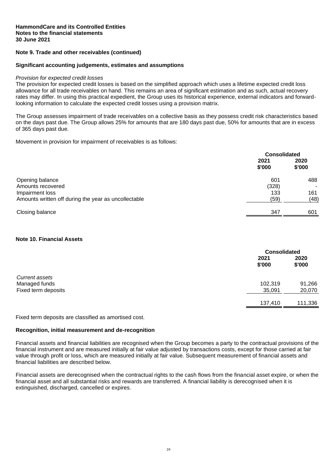## **Note 9. Trade and other receivables (continued)**

#### **Significant accounting judgements, estimates and assumptions**

#### *Provision for expected credit losses*

The provision for expected credit losses is based on the simplified approach which uses a lifetime expected credit loss allowance for all trade receivables on hand. This remains an area of significant estimation and as such, actual recovery rates may differ. In using this practical expedient, the Group uses its historical experience, external indicators and forwardlooking information to calculate the expected credit losses using a provision matrix.

The Group assesses impairment of trade receivables on a collective basis as they possess credit risk characteristics based on the days past due. The Group allows 25% for amounts that are 180 days past due, 50% for amounts that are in excess of 365 days past due.

Movement in provision for impairment of receivables is as follows:

|                                                      |                | <b>Consolidated</b> |  |
|------------------------------------------------------|----------------|---------------------|--|
|                                                      | 2021<br>\$'000 | 2020<br>\$'000      |  |
| Opening balance                                      | 601            | 488                 |  |
| Amounts recovered                                    | (328)          | ۰                   |  |
| Impairment loss                                      | 133            | 161                 |  |
| Amounts written off during the year as uncollectable | (59)           | (48)                |  |
| Closing balance                                      | 347            | 601                 |  |

## **Note 10. Financial Assets**

|                                      |                | <b>Consolidated</b> |  |
|--------------------------------------|----------------|---------------------|--|
|                                      | 2021<br>\$'000 | 2020<br>\$'000      |  |
| Current assets                       | 102,319        | 91,266              |  |
| Managed funds<br>Fixed term deposits | 35,091         | 20,070              |  |
|                                      | 137,410        | 111,336             |  |

Fixed term deposits are classified as amortised cost.

## **Recognition, initial measurement and de-recognition**

Financial assets and financial liabilities are recognised when the Group becomes a party to the contractual provisions of the financial instrument and are measured initially at fair value adjusted by transactions costs, except for those carried at fair value through profit or loss, which are measured initially at fair value. Subsequent measurement of financial assets and financial liabilities are described below.

Financial assets are derecognised when the contractual rights to the cash flows from the financial asset expire, or when the financial asset and all substantial risks and rewards are transferred. A financial liability is derecognised when it is extinguished, discharged, cancelled or expires.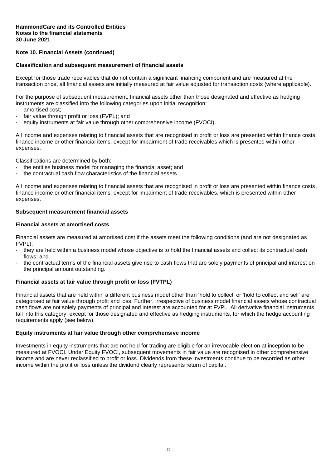## **Note 10. Financial Assets (continued)**

#### **Classification and subsequent measurement of financial assets**

Except for those trade receivables that do not contain a significant financing component and are measured at the transaction price, all financial assets are initially measured at fair value adjusted for transaction costs (where applicable).

For the purpose of subsequent measurement, financial assets other than those designated and effective as hedging instruments are classified into the following categories upon initial recognition:

- · amortised cost;
- · fair value through profit or loss (FVPL); and
- · equity instruments at fair value through other comprehensive income (FVOCI).

All income and expenses relating to financial assets that are recognised in profit or loss are presented within finance costs, finance income or other financial items, except for impairment of trade receivables which is presented within other expenses.

Classifications are determined by both:

- the entities business model for managing the financial asset; and
- · the contractual cash flow characteristics of the financial assets.

All income and expenses relating to financial assets that are recognised in profit or loss are presented within finance costs, finance income or other financial items, except for impairment of trade receivables, which is presented within other expenses.

#### **Subsequent measurement financial assets**

#### **Financial assets at amortised costs**

Financial assets are measured at amortised cost if the assets meet the following conditions (and are not designated as FVPL):

- they are held within a business model whose objective is to hold the financial assets and collect its contractual cash flows; and
- · the contractual terms of the financial assets give rise to cash flows that are solely payments of principal and interest on the principal amount outstanding.

## **Financial assets at fair value through profit or loss (FVTPL)**

Financial assets that are held within a different business model other than 'hold to collect' or 'hold to collect and sell' are categorised at fair value through profit and loss. Further, irrespective of business model financial assets whose contractual cash flows are not solely payments of principal and interest are accounted for at FVPL. All derivative financial instruments fall into this category, except for those designated and effective as hedging instruments, for which the hedge accounting requirements apply (see below).

#### **Equity instruments at fair value through other comprehensive income**

Investments in equity instruments that are not held for trading are eligible for an irrevocable election at inception to be measured at FVOCI. Under Equity FVOCI, subsequent movements in fair value are recognised in other comprehensive income and are never reclassified to profit or loss. Dividends from these investments continue to be recorded as other income within the profit or loss unless the dividend clearly represents return of capital.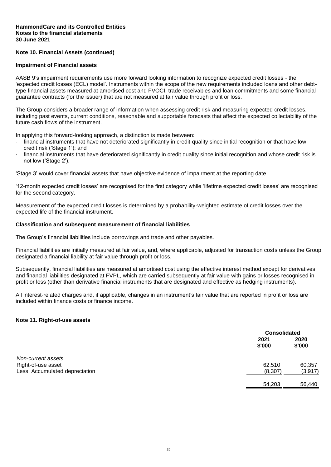## **Note 10. Financial Assets (continued)**

#### **Impairment of Financial assets**

AASB 9's impairment requirements use more forward looking information to recognize expected credit losses - the 'expected credit losses (ECL) model'. Instruments within the scope of the new requirements included loans and other debttype financial assets measured at amortised cost and FVOCI, trade receivables and loan commitments and some financial guarantee contracts (for the issuer) that are not measured at fair value through profit or loss.

The Group considers a broader range of information when assessing credit risk and measuring expected credit losses, including past events, current conditions, reasonable and supportable forecasts that affect the expected collectability of the future cash flows of the instrument.

In applying this forward-looking approach, a distinction is made between:

- financial instruments that have not deteriorated significantly in credit quality since initial recognition or that have low credit risk ('Stage 1'); and
- financial instruments that have deteriorated significantly in credit quality since initial recognition and whose credit risk is not low ('Stage 2').

'Stage 3' would cover financial assets that have objective evidence of impairment at the reporting date.

'12-month expected credit losses' are recognised for the first category while 'lifetime expected credit losses' are recognised for the second category.

Measurement of the expected credit losses is determined by a probability-weighted estimate of credit losses over the expected life of the financial instrument.

#### **Classification and subsequent measurement of financial liabilities**

The Group's financial liabilities include borrowings and trade and other payables.

Financial liabilities are initially measured at fair value, and, where applicable, adjusted for transaction costs unless the Group designated a financial liability at fair value through profit or loss.

Subsequently, financial liabilities are measured at amortised cost using the effective interest method except for derivatives and financial liabilities designated at FVPL, which are carried subsequently at fair value with gains or losses recognised in profit or loss (other than derivative financial instruments that are designated and effective as hedging instruments).

All interest-related charges and, if applicable, changes in an instrument's fair value that are reported in profit or loss are included within finance costs or finance income.

#### **Note 11. Right-of-use assets**

|                                |                | <b>Consolidated</b> |  |
|--------------------------------|----------------|---------------------|--|
|                                | 2021<br>\$'000 | 2020<br>\$'000      |  |
| Non-current assets             |                |                     |  |
| Right-of-use asset             | 62,510         | 60,357              |  |
| Less: Accumulated depreciation | (8, 307)       | (3, 917)            |  |
|                                | 54,203         | 56,440              |  |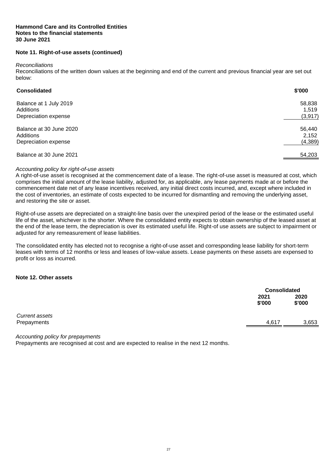#### **Hammond Care and its Controlled Entities Notes to the financial statements 30 June 2021**

## **Note 11. Right-of-use assets (continued)**

#### *Reconciliations*

Reconciliations of the written down values at the beginning and end of the current and previous financial year are set out below:

| <b>Consolidated</b>                  | \$'000          |
|--------------------------------------|-----------------|
| Balance at 1 July 2019<br>Additions  | 58,838<br>1,519 |
| Depreciation expense                 | (3, 917)        |
| Balance at 30 June 2020<br>Additions | 56,440<br>2,152 |
| Depreciation expense                 | (4, 389)        |
| Balance at 30 June 2021              | 54,203          |

## *Accounting policy for right-of-use assets*

A right-of-use asset is recognised at the commencement date of a lease. The right-of-use asset is measured at cost, which comprises the initial amount of the lease liability, adjusted for, as applicable, any lease payments made at or before the commencement date net of any lease incentives received, any initial direct costs incurred, and, except where included in the cost of inventories, an estimate of costs expected to be incurred for dismantling and removing the underlying asset, and restoring the site or asset.

Right-of-use assets are depreciated on a straight-line basis over the unexpired period of the lease or the estimated useful life of the asset, whichever is the shorter. Where the consolidated entity expects to obtain ownership of the leased asset at the end of the lease term, the depreciation is over its estimated useful life. Right-of use assets are subject to impairment or adjusted for any remeasurement of lease liabilities.

The consolidated entity has elected not to recognise a right-of-use asset and corresponding lease liability for short-term leases with terms of 12 months or less and leases of low-value assets. Lease payments on these assets are expensed to profit or loss as incurred.

## **Note 12. Other assets**

|                |                | <b>Consolidated</b> |  |
|----------------|----------------|---------------------|--|
|                | 2021<br>\$'000 | 2020<br>\$'000      |  |
| Current assets |                |                     |  |
| Prepayments    | 4,617          | 3,653               |  |

*Accounting policy for prepayments*

Prepayments are recognised at cost and are expected to realise in the next 12 months.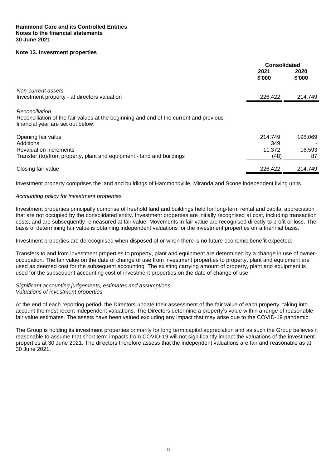## **Note 13. Investment properties**

|                                                                                                                                               | Consolidated   |                |
|-----------------------------------------------------------------------------------------------------------------------------------------------|----------------|----------------|
|                                                                                                                                               | 2021<br>\$'000 | 2020<br>\$'000 |
| Non-current assets                                                                                                                            |                |                |
| Investment property - at directors valuation                                                                                                  | 226,422        | 214,749        |
| Reconciliation<br>Reconciliation of the fair values at the beginning and end of the current and previous<br>financial year are set out below: |                |                |
| Opening fair value                                                                                                                            | 214,749        | 198,069        |
| Additions                                                                                                                                     | 349            |                |
| <b>Revaluation increments</b>                                                                                                                 | 11.372         | 16,593         |
| Transfer (to)/from property, plant and equipment - land and buildings                                                                         | (48)           | 87             |
| Closing fair value                                                                                                                            | 226,422        | 214,749        |

Investment property comprises the land and buildings of Hammondville, Miranda and Scone independent living units.

## *Accounting policy for investment properties*

Investment properties principally comprise of freehold land and buildings held for long-term rental and capital appreciation that are not occupied by the consolidated entity. Investment properties are initially recognised at cost, including transaction costs, and are subsequently remeasured at fair value. Movements in fair value are recognised directly to profit or loss. The basis of determining fair value is obtaining independent valuations for the investment properties on a triennial basis.

Investment properties are derecognised when disposed of or when there is no future economic benefit expected.

Transfers to and from investment properties to property, plant and equipment are determined by a change in use of owneroccupation. The fair value on the date of change of use from investment properties to property, plant and equipment are used as deemed cost for the subsequent accounting. The existing carrying amount of property, plant and equipment is used for the subsequent accounting cost of investment properties on the date of change of use.

#### *Significant accounting judgements, estimates and assumptions Valuations of investment properties*

At the end of each reporting period, the Directors update their assessment of the fair value of each property, taking into account the most recent independent valuations. The Directors determine a property's value within a range of reasonable fair value estimates. The assets have been valued excluding any impact that may arise due to the COVID-19 pandemic.

The Group is holding its investment properties primarily for long term capital appreciation and as such the Group believes it reasonable to assume that short term impacts from COVID-19 will not significantly impact the valuations of the investment properties at 30 June 2021. The directors therefore assess that the independent valuations are fair and reasonable as at 30 June 2021.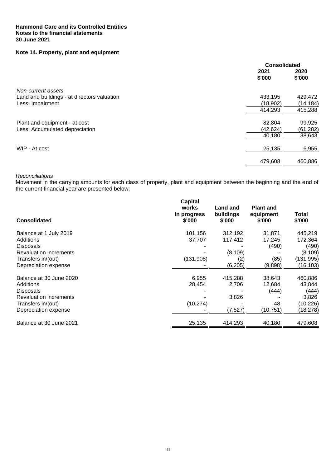## **Note 14. Property, plant and equipment**

|                                             | Consolidated   |                |
|---------------------------------------------|----------------|----------------|
|                                             | 2021<br>\$'000 | 2020<br>\$'000 |
| Non-current assets                          |                |                |
| Land and buildings - at directors valuation | 433,195        | 429,472        |
| Less: Impairment                            | (18,902)       | (14, 184)      |
|                                             | 414,293        | 415,288        |
| Plant and equipment - at cost               | 82,804         | 99,925         |
| Less: Accumulated depreciation              | (42,624)       | (61, 282)      |
|                                             | 40,180         | 38,643         |
| WIP - At cost                               | 25,135         | 6,955          |
|                                             | 479,608        | 460,886        |

## *Reconciliations*

Movement in the carrying amounts for each class of property, plant and equipment between the beginning and the end of the current financial year are presented below:

| <b>Consolidated</b>           | <b>Capital</b><br>works<br>in progress<br>\$'000 | Land and<br>buildings<br>\$'000 | <b>Plant and</b><br>equipment<br>\$'000 | Total<br>\$'000 |
|-------------------------------|--------------------------------------------------|---------------------------------|-----------------------------------------|-----------------|
| Balance at 1 July 2019        | 101,156                                          | 312,192                         | 31,871                                  | 445,219         |
| Additions                     | 37,707                                           | 117,412                         | 17,245                                  | 172,364         |
| <b>Disposals</b>              |                                                  |                                 | (490)                                   | (490)           |
| <b>Revaluation increments</b> |                                                  | (8, 109)                        |                                         | (8, 109)        |
| Transfers in/(out)            | (131,908)                                        | (2)                             | (85)                                    | (131, 995)      |
| Depreciation expense          |                                                  | (6, 205)                        | (9,898)                                 | (16, 103)       |
| Balance at 30 June 2020       | 6,955                                            | 415.288                         | 38,643                                  | 460,886         |
| Additions                     | 28,454                                           | 2,706                           | 12,684                                  | 43,844          |
| Disposals                     |                                                  |                                 | (444)                                   | (444)           |
| <b>Revaluation increments</b> |                                                  | 3,826                           |                                         | 3,826           |
| Transfers in/(out)            | (10, 274)                                        |                                 | 48                                      | (10, 226)       |
| Depreciation expense          |                                                  | (7, 527)                        | (10, 751)                               | (18, 278)       |
| Balance at 30 June 2021       | 25,135                                           | 414,293                         | 40,180                                  | 479,608         |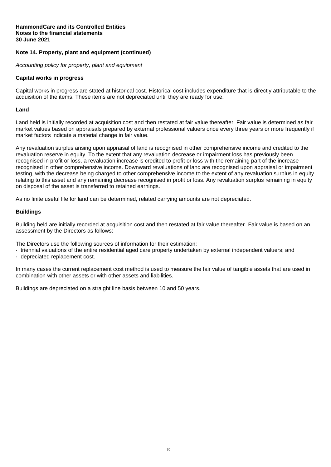## **Note 14. Property, plant and equipment (continued)**

*Accounting policy for property, plant and equipment*

#### **Capital works in progress**

Capital works in progress are stated at historical cost. Historical cost includes expenditure that is directly attributable to the acquisition of the items. These items are not depreciated until they are ready for use.

#### **Land**

Land held is initially recorded at acquisition cost and then restated at fair value thereafter. Fair value is determined as fair market values based on appraisals prepared by external professional valuers once every three years or more frequently if market factors indicate a material change in fair value.

Any revaluation surplus arising upon appraisal of land is recognised in other comprehensive income and credited to the revaluation reserve in equity. To the extent that any revaluation decrease or impairment loss has previously been recognised in profit or loss, a revaluation increase is credited to profit or loss with the remaining part of the increase recognised in other comprehensive income. Downward revaluations of land are recognised upon appraisal or impairment testing, with the decrease being charged to other comprehensive income to the extent of any revaluation surplus in equity relating to this asset and any remaining decrease recognised in profit or loss. Any revaluation surplus remaining in equity on disposal of the asset is transferred to retained earnings.

As no finite useful life for land can be determined, related carrying amounts are not depreciated.

#### **Buildings**

Building held are initially recorded at acquisition cost and then restated at fair value thereafter. Fair value is based on an assessment by the Directors as follows:

The Directors use the following sources of information for their estimation:

- · triennial valuations of the entire residential aged care property undertaken by external independent valuers; and
- · depreciated replacement cost.

In many cases the current replacement cost method is used to measure the fair value of tangible assets that are used in combination with other assets or with other assets and liabilities.

Buildings are depreciated on a straight line basis between 10 and 50 years.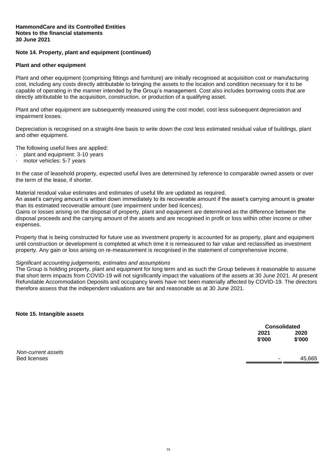## **Note 14. Property, plant and equipment (continued)**

#### **Plant and other equipment**

Plant and other equipment (comprising fittings and furniture) are initially recognised at acquisition cost or manufacturing cost, including any costs directly attributable to bringing the assets to the location and condition necessary for it to be capable of operating in the manner intended by the Group's management. Cost also includes borrowing costs that are directly attributable to the acquisition, construction, or production of a qualifying asset.

Plant and other equipment are subsequently measured using the cost model, cost less subsequent depreciation and impairment losses.

Depreciation is recognised on a straight-line basis to write down the cost less estimated residual value of buildings, plant and other equipment.

The following useful lives are applied:

- plant and equipment: 3-10 years
- motor vehicles: 5-7 years

In the case of leasehold property, expected useful lives are determined by reference to comparable owned assets or over the term of the lease, if shorter.

Material residual value estimates and estimates of useful life are updated as required.

An asset's carrying amount is written down immediately to its recoverable amount if the asset's carrying amount is greater than its estimated recoverable amount (see impairment under bed licences).

Gains or losses arising on the disposal of property, plant and equipment are determined as the difference between the disposal proceeds and the carrying amount of the assets and are recognised in profit or loss within other income or other expenses.

Property that is being constructed for future use as investment property is accounted for as property, plant and equipment until construction or development is completed at which time it is remeasured to fair value and reclassified as investment property. Any gain or loss arising on re-measurement is recognised in the statement of comprehensive income.

#### *Significant accounting judgements, estimates and assumptions*

The Group is holding property, plant and equipment for long term and as such the Group believes it reasonable to assume that short term impacts from COVID-19 will not significantly impact the valuations of the assets at 30 June 2021. At present Refundable Accommodation Deposits and occupancy levels have not been materially affected by COVID-19. The directors therefore assess that the independent valuations are fair and reasonable as at 30 June 2021.

**Note 15. Intangible assets**

| <b>Consolidated</b> |        |
|---------------------|--------|
| 2021                | 2020   |
| \$'000              | \$'000 |

*Non-current assets* Bed licenses - 45,665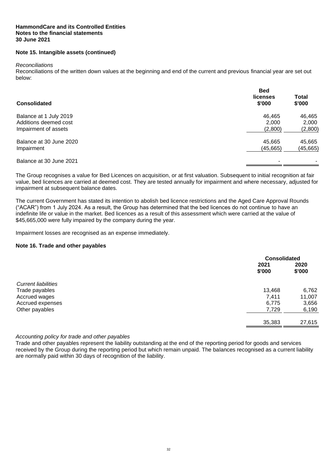## **Note 15. Intangible assets (continued)**

#### *Reconciliations*

Reconciliations of the written down values at the beginning and end of the current and previous financial year are set out below:

| <b>Consolidated</b>     | <b>Bed</b><br>licenses<br>\$'000 | <b>Total</b><br>\$'000 |
|-------------------------|----------------------------------|------------------------|
| Balance at 1 July 2019  | 46.465                           | 46,465                 |
| Additions deemed cost   | 2.000                            | 2.000                  |
| Impairment of assets    | (2,800)                          | (2,800)                |
| Balance at 30 June 2020 | 45,665                           | 45,665                 |
| Impairment              | (45, 665)                        | (45, 665)              |
| Balance at 30 June 2021 | -                                |                        |

The Group recognises a value for Bed Licences on acquisition, or at first valuation. Subsequent to initial recognition at fair value, bed licences are carried at deemed cost. They are tested annually for impairment and where necessary, adjusted for impairment at subsequent balance dates.

The current Government has stated its intention to abolish bed licence restrictions and the Aged Care Approval Rounds ("ACAR") from 1 July 2024. As a result, the Group has determined that the bed licences do not continue to have an indefinite life or value in the market. Bed licences as a result of this assessment which were carried at the value of \$45,665,000 were fully impaired by the company during the year.

Impairment losses are recognised as an expense immediately.

#### **Note 16. Trade and other payables**

|                            |                | <b>Consolidated</b> |  |
|----------------------------|----------------|---------------------|--|
|                            | 2021<br>\$'000 | 2020<br>\$'000      |  |
| <b>Current liabilities</b> |                |                     |  |
| Trade payables             | 13,468         | 6,762               |  |
| Accrued wages              | 7,411          | 11,007              |  |
| Accrued expenses           | 6,775          | 3,656               |  |
| Other payables             | 7,729          | 6,190               |  |
|                            | 35,383         | 27,615              |  |
|                            |                |                     |  |

## *Accounting policy for trade and other payables*

Trade and other payables represent the liability outstanding at the end of the reporting period for goods and services received by the Group during the reporting period but which remain unpaid. The balances recognised as a current liability are normally paid within 30 days of recognition of the liability.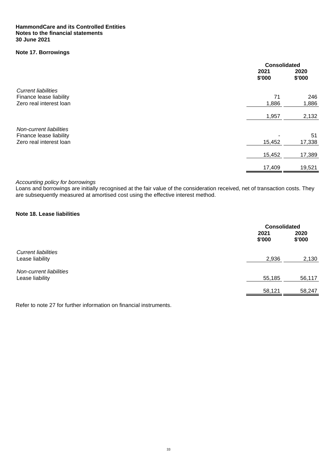## **Note 17. Borrowings**

|                            | <b>Consolidated</b> |                |
|----------------------------|---------------------|----------------|
|                            | 2021<br>\$'000      | 2020<br>\$'000 |
| <b>Current liabilities</b> |                     |                |
| Finance lease liability    | 71                  | 246            |
| Zero real interest loan    | 1,886               | 1,886          |
|                            | 1,957               | 2,132          |
| Non-current liabilities    |                     |                |
| Finance lease liability    |                     | 51             |
| Zero real interest loan    | 15,452              | 17,338         |
|                            | 15,452              | 17,389         |
|                            | 17,409              | 19,521         |

#### *Accounting policy for borrowings*

Loans and borrowings are initially recognised at the fair value of the consideration received, net of transaction costs. They are subsequently measured at amortised cost using the effective interest method.

## **Note 18. Lease liabilities**

|                                               |                | <b>Consolidated</b> |  |
|-----------------------------------------------|----------------|---------------------|--|
|                                               | 2021<br>\$'000 | 2020<br>\$'000      |  |
| <b>Current liabilities</b><br>Lease liability | 2,936          | 2,130               |  |
| Non-current liabilities<br>Lease liability    | 55,185         | 56,117              |  |
|                                               | 58,121         | 58.247              |  |

Refer to note 27 for further information on financial instruments.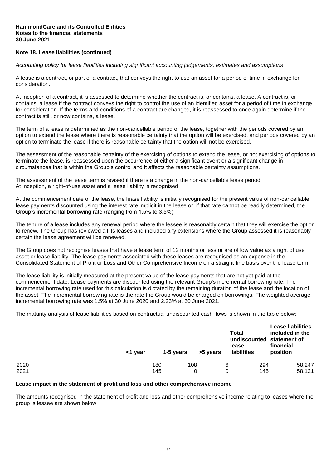## **Note 18. Lease liabilities (continued)**

*Accounting policy for lease liabilities including significant accounting judgements, estimates and assumptions*

A lease is a contract, or part of a contract, that conveys the right to use an asset for a period of time in exchange for consideration.

At inception of a contract, it is assessed to determine whether the contract is, or contains, a lease. A contract is, or contains, a lease if the contract conveys the right to control the use of an identified asset for a period of time in exchange for consideration. If the terms and conditions of a contract are changed, it is reassessed to once again determine if the contract is still, or now contains, a lease.

The term of a lease is determined as the non-cancellable period of the lease, together with the periods covered by an option to extend the lease where there is reasonable certainty that the option will be exercised, and periods covered by an option to terminate the lease if there is reasonable certainty that the option will not be exercised.

The assessment of the reasonable certainty of the exercising of options to extend the lease, or not exercising of options to terminate the lease, is reassessed upon the occurrence of either a significant event or a significant change in circumstances that is within the Group's control and it affects the reasonable certainty assumptions.

The assessment of the lease term is revised if there is a change in the non-cancellable lease period. At inception, a right-of-use asset and a lease liability is recognised

At the commencement date of the lease, the lease liability is initially recognised for the present value of non-cancellable lease payments discounted using the interest rate implicit in the lease or, if that rate cannot be readily determined, the Group's incremental borrowing rate (ranging from 1.5% to 3.5%)

The tenure of a lease includes any renewal period where the lessee is reasonably certain that they will exercise the option to renew. The Group has reviewed all its leases and included any extensions where the Group assessed it is reasonably certain the lease agreement will be renewed.

The Group does not recognise leases that have a lease term of 12 months or less or are of low value as a right of use asset or lease liability. The lease payments associated with these leases are recognised as an expense in the Consolidated Statement of Profit or Loss and Other Comprehensive Income on a straight-line basis over the lease term.

The lease liability is initially measured at the present value of the lease payments that are not yet paid at the commencement date. Lease payments are discounted using the relevant Group's incremental borrowing rate. The incremental borrowing rate used for this calculation is dictated by the remaining duration of the lease and the location of the asset. The incremental borrowing rate is the rate the Group would be charged on borrowings. The weighted average incremental borrowing rate was 1.5% at 30 June 2020 and 2.23% at 30 June 2021.

The maturity analysis of lease liabilities based on contractual undiscounted cash flows is shown in the table below:

|              | <1 year | 1-5 years  | >5 years | Total<br>lease<br>liabilities | <b>Lease liabilities</b><br>included in the<br>undiscounted statement of<br>financial<br>position |                  |
|--------------|---------|------------|----------|-------------------------------|---------------------------------------------------------------------------------------------------|------------------|
| 2020<br>2021 |         | 180<br>145 | 108<br>0 | 6                             | 294<br>145                                                                                        | 58,247<br>58,121 |

## **Lease impact in the statement of profit and loss and other comprehensive income**

The amounts recognised in the statement of profit and loss and other comprehensive income relating to leases where the group is lessee are shown below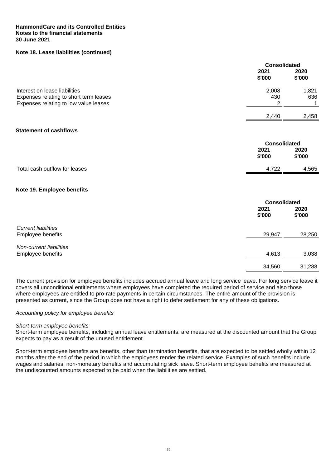## **HammondCare and its Controlled Entities Notes to the financial statements 30 June 2021**

## **Note 18. Lease liabilities (continued)**

|                                        | <b>Consolidated</b> |                |
|----------------------------------------|---------------------|----------------|
|                                        | 2021<br>\$'000      | 2020<br>\$'000 |
| Interest on lease liabilities          | 2,008               | 1,821          |
| Expenses relating to short term leases | 430                 | 636            |
| Expenses relating to low value leases  | $\overline{2}$      | 1              |
|                                        | 2,440               | 2,458          |
| <b>Statement of cashflows</b>          |                     |                |
|                                        | <b>Consolidated</b> |                |
|                                        | 2021                | 2020           |
|                                        | \$'000              | \$'000         |
| Total cash outflow for leases          | 4,722               | 4,565          |
| Note 19. Employee benefits             |                     |                |
|                                        | <b>Consolidated</b> |                |
|                                        | 2021                | 2020           |
|                                        | \$'000              | \$'000         |
| <b>Current liabilities</b>             |                     |                |
| Employee benefits                      | 29,947              | 28,250         |
| <b>Non-current liabilities</b>         |                     |                |
| Employee benefits                      | 4,613               | 3,038          |
|                                        | 34,560              | 31,288         |
|                                        |                     |                |

The current provision for employee benefits includes accrued annual leave and long service leave. For long service leave it covers all unconditional entitlements where employees have completed the required period of service and also those where employees are entitled to pro-rate payments in certain circumstances. The entire amount of the provision is presented as current, since the Group does not have a right to defer settlement for any of these obligations.

#### *Accounting policy for employee benefits*

#### *Short-term employee benefits*

Short-term employee benefits, including annual leave entitlements, are measured at the discounted amount that the Group expects to pay as a result of the unused entitlement.

Short-term employee benefits are benefits, other than termination benefits, that are expected to be settled wholly within 12 months after the end of the period in which the employees render the related service. Examples of such benefits include wages and salaries, non-monetary benefits and accumulating sick leave. Short-term employee benefits are measured at the undiscounted amounts expected to be paid when the liabilities are settled.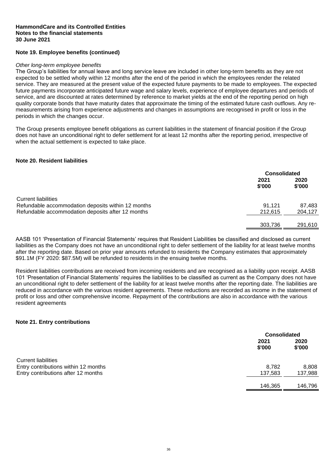## **Note 19. Employee benefits (continued)**

#### *Other long-term employee benefits*

The Group's liabilities for annual leave and long service leave are included in other long-term benefits as they are not expected to be settled wholly within 12 months after the end of the period in which the employees render the related service. They are measured at the present value of the expected future payments to be made to employees. The expected future payments incorporate anticipated future wage and salary levels, experience of employee departures and periods of service, and are discounted at rates determined by reference to market yields at the end of the reporting period on high quality corporate bonds that have maturity dates that approximate the timing of the estimated future cash outflows. Any remeasurements arising from experience adjustments and changes in assumptions are recognised in profit or loss in the periods in which the changes occur.

The Group presents employee benefit obligations as current liabilities in the statement of financial position if the Group does not have an unconditional right to defer settlement for at least 12 months after the reporting period, irrespective of when the actual settlement is expected to take place.

#### **Note 20. Resident liabilities**

|                                                                                  |                | <b>Consolidated</b> |  |
|----------------------------------------------------------------------------------|----------------|---------------------|--|
|                                                                                  | 2021<br>\$'000 | 2020<br>\$'000      |  |
| <b>Current liabilities</b><br>Refundable accommodation deposits within 12 months | 91.121         | 87,483              |  |
| Refundable accommodation deposits after 12 months                                | 212.615        | 204,127             |  |
|                                                                                  | 303,736        | 291,610             |  |

AASB 101 'Presentation of Financial Statements' requires that Resident Liabilities be classified and disclosed as current liabilities as the Company does not have an unconditional right to defer settlement of the liability for at least twelve months after the reporting date. Based on prior year amounts refunded to residents the Company estimates that approximately \$91.1M (FY 2020: \$87.5M) will be refunded to residents in the ensuing twelve months.

Resident liabilities contributions are received from incoming residents and are recognised as a liability upon receipt. AASB 101 'Presentation of Financial Statements' requires the liabilities to be classified as current as the Company does not have an unconditional right to defer settlement of the liability for at least twelve months after the reporting date. The liabilities are reduced in accordance with the various resident agreements. These reductions are recorded as income in the statement of profit or loss and other comprehensive income. Repayment of the contributions are also in accordance with the various resident agreements

## **Note 21. Entry contributions**

|                                      |                | <b>Consolidated</b> |  |
|--------------------------------------|----------------|---------------------|--|
|                                      | 2021<br>\$'000 | 2020<br>\$'000      |  |
| <b>Current liabilities</b>           |                |                     |  |
| Entry contributions within 12 months | 8.782          | 8,808               |  |
| Entry contributions after 12 months  | 137,583        | 137,988             |  |
|                                      | 146,365        | 146,796             |  |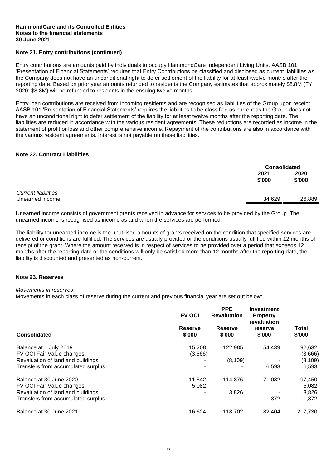#### **HammondCare and its Controlled Entities Notes to the financial statements 30 June 2021**

## **Note 21. Entry contributions (continued)**

Entry contributions are amounts paid by individuals to occupy HammondCare Independent Living Units. AASB 101 'Presentation of Financial Statements' requires that Entry Contributions be classified and disclosed as current liabilities as the Company does not have an unconditional right to defer settlement of the liability for at least twelve months after the reporting date. Based on prior year amounts refunded to residents the Company estimates that approximately \$8.8M (FY 2020: \$8.8M) will be refunded to residents in the ensuing twelve months.

Entry loan contributions are received from incoming residents and are recognised as liabilities of the Group upon receipt. AASB 101 'Presentation of Financial Statements' requires the liabilities to be classified as current as the Group does not have an unconditional right to defer settlement of the liability for at least twelve months after the reporting date. The liabilities are reduced in accordance with the various resident agreements. These reductions are recorded as income in the statement of profit or loss and other comprehensive income. Repayment of the contributions are also in accordance with the various resident agreements. Interest is not payable on these liabilities.

## **Note 22. Contract Liabilities**

|                            |                | <b>Consolidated</b> |  |
|----------------------------|----------------|---------------------|--|
|                            | 2021<br>\$'000 | 2020<br>\$'000      |  |
| <b>Current liabilities</b> |                |                     |  |
| Unearned income            | 34,629         | 26,889              |  |

Unearned income consists of government grants received in advance for services to be provided by the Group. The unearned income is recognised as income as and when the services are performed.

The liability for unearned income is the unutilised amounts of grants received on the condition that specified services are delivered or conditions are fulfilled. The services are usually provided or the conditions usually fulfilled within 12 months of receipt of the grant. Where the amount received is in respect of services to be provided over a period that exceeds 12 months after the reporting date or the conditions will only be satisfied more than 12 months after the reporting date, the liability is discounted and presented as non-current.

#### **Note 23. Reserves**

#### *Movements in reserves*

Movements in each class of reserve during the current and previous financial year are set out below:

|                                                                                                                                 | <b>FV OCI</b>            | <b>PPE</b><br><b>Revaluation</b> | <b>Investment</b><br><b>Property</b><br>revaluation |                                          |  |
|---------------------------------------------------------------------------------------------------------------------------------|--------------------------|----------------------------------|-----------------------------------------------------|------------------------------------------|--|
| Consolidated                                                                                                                    | <b>Reserve</b><br>\$'000 | <b>Reserve</b><br>\$'000         | reserve<br>\$'000                                   | Total<br>\$'000                          |  |
| Balance at 1 July 2019<br>FV OCI Fair Value changes<br>Revaluation of land and buildings<br>Transfers from accumulated surplus  | 15,208<br>(3,666)        | 122,985<br>(8, 109)              | 54,439<br>16,593                                    | 192,632<br>(3,666)<br>(8, 109)<br>16,593 |  |
| Balance at 30 June 2020<br>FV OCI Fair Value changes<br>Revaluation of land and buildings<br>Transfers from accumulated surplus | 11,542<br>5,082          | 114,876<br>3,826                 | 71,032<br>11,372                                    | 197,450<br>5,082<br>3,826<br>11,372      |  |
| Balance at 30 June 2021                                                                                                         | 16,624                   | 118,702                          | 82,404                                              | 217,730                                  |  |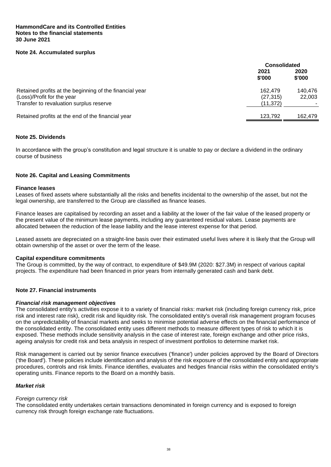## **Note 24. Accumulated surplus**

|                                                                                                                                  | <b>Consolidated</b>               |                   |
|----------------------------------------------------------------------------------------------------------------------------------|-----------------------------------|-------------------|
|                                                                                                                                  | 2021<br>\$'000                    | 2020<br>\$'000    |
| Retained profits at the beginning of the financial year<br>(Loss)/Profit for the year<br>Transfer to revaluation surplus reserve | 162.479<br>(27, 315)<br>(11, 372) | 140.476<br>22,003 |
| Retained profits at the end of the financial year                                                                                | 123.792                           | 162.479           |

## **Note 25. Dividends**

In accordance with the group's constitution and legal structure it is unable to pay or declare a dividend in the ordinary course of business

#### **Note 26. Capital and Leasing Commitments**

#### **Finance leases**

Leases of fixed assets where substantially all the risks and benefits incidental to the ownership of the asset, but not the legal ownership, are transferred to the Group are classified as finance leases.

Finance leases are capitalised by recording an asset and a liability at the lower of the fair value of the leased property or the present value of the minimum lease payments, including any guaranteed residual values. Lease payments are allocated between the reduction of the lease liability and the lease interest expense for that period.

Leased assets are depreciated on a straight-line basis over their estimated useful lives where it is likely that the Group will obtain ownership of the asset or over the term of the lease.

#### **Capital expenditure commitments**

The Group is committed, by the way of contract, to expenditure of \$49.9M (2020: \$27.3M) in respect of various capital projects. The expenditure had been financed in prior years from internally generated cash and bank debt.

## **Note 27. Financial instruments**

#### *Financial risk management objectives*

The consolidated entity's activities expose it to a variety of financial risks: market risk (including foreign currency risk, price risk and interest rate risk), credit risk and liquidity risk. The consolidated entity's overall risk management program focuses on the unpredictability of financial markets and seeks to minimise potential adverse effects on the financial performance of the consolidated entity. The consolidated entity uses different methods to measure different types of risk to which it is exposed. These methods include sensitivity analysis in the case of interest rate, foreign exchange and other price risks, ageing analysis for credit risk and beta analysis in respect of investment portfolios to determine market risk.

Risk management is carried out by senior finance executives ('finance') under policies approved by the Board of Directors ('the Board'). These policies include identification and analysis of the risk exposure of the consolidated entity and appropriate procedures, controls and risk limits. Finance identifies, evaluates and hedges financial risks within the consolidated entity's operating units. Finance reports to the Board on a monthly basis.

## *Market risk*

#### *Foreign currency risk*

The consolidated entity undertakes certain transactions denominated in foreign currency and is exposed to foreign currency risk through foreign exchange rate fluctuations.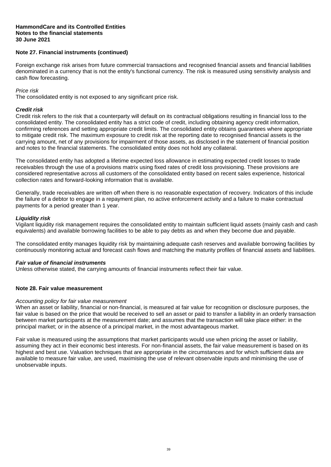#### **HammondCare and its Controlled Entities Notes to the financial statements 30 June 2021**

## **Note 27. Financial instruments (continued)**

Foreign exchange risk arises from future commercial transactions and recognised financial assets and financial liabilities denominated in a currency that is not the entity's functional currency. The risk is measured using sensitivity analysis and cash flow forecasting.

## *Price risk*

The consolidated entity is not exposed to any significant price risk.

## *Credit risk*

Credit risk refers to the risk that a counterparty will default on its contractual obligations resulting in financial loss to the consolidated entity. The consolidated entity has a strict code of credit, including obtaining agency credit information, confirming references and setting appropriate credit limits. The consolidated entity obtains guarantees where appropriate to mitigate credit risk. The maximum exposure to credit risk at the reporting date to recognised financial assets is the carrying amount, net of any provisions for impairment of those assets, as disclosed in the statement of financial position and notes to the financial statements. The consolidated entity does not hold any collateral.

The consolidated entity has adopted a lifetime expected loss allowance in estimating expected credit losses to trade receivables through the use of a provisions matrix using fixed rates of credit loss provisioning. These provisions are considered representative across all customers of the consolidated entity based on recent sales experience, historical collection rates and forward-looking information that is available.

Generally, trade receivables are written off when there is no reasonable expectation of recovery. Indicators of this include the failure of a debtor to engage in a repayment plan, no active enforcement activity and a failure to make contractual payments for a period greater than 1 year.

## *Liquidity risk*

Vigilant liquidity risk management requires the consolidated entity to maintain sufficient liquid assets (mainly cash and cash equivalents) and available borrowing facilities to be able to pay debts as and when they become due and payable.

The consolidated entity manages liquidity risk by maintaining adequate cash reserves and available borrowing facilities by continuously monitoring actual and forecast cash flows and matching the maturity profiles of financial assets and liabilities.

#### *Fair value of financial instruments*

Unless otherwise stated, the carrying amounts of financial instruments reflect their fair value.

## **Note 28. Fair value measurement**

## *Accounting policy for fair value measurement*

When an asset or liability, financial or non-financial, is measured at fair value for recognition or disclosure purposes, the fair value is based on the price that would be received to sell an asset or paid to transfer a liability in an orderly transaction between market participants at the measurement date; and assumes that the transaction will take place either: in the principal market; or in the absence of a principal market, in the most advantageous market.

Fair value is measured using the assumptions that market participants would use when pricing the asset or liability, assuming they act in their economic best interests. For non-financial assets, the fair value measurement is based on its highest and best use. Valuation techniques that are appropriate in the circumstances and for which sufficient data are available to measure fair value, are used, maximising the use of relevant observable inputs and minimising the use of unobservable inputs.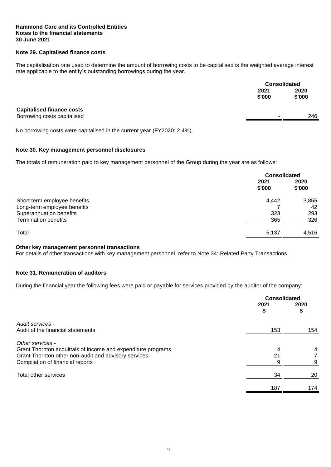### **Hammond Care and its Controlled Entities Notes to the financial statements 30 June 2021**

## **Note 29. Capitalised finance costs**

The capitalisation rate used to determine the amount of borrowing costs to be capitalised is the weighted average interest rate applicable to the entity's outstanding borrowings during the year.

|                                  |                          | <b>Consolidated</b> |  |
|----------------------------------|--------------------------|---------------------|--|
|                                  | 2021<br>\$'000           | 2020<br>\$'000      |  |
| <b>Capitalised finance costs</b> |                          |                     |  |
| Borrowing costs capitalised      | $\overline{\phantom{0}}$ | 246                 |  |

No borrowing costs were capitalised in the current year (FY2020: 2.4%).

## **Note 30. Key management personnel disclosures**

The totals of remuneration paid to key management personnel of the Group during the year are as follows:

|                                                        |                | <b>Consolidated</b> |  |
|--------------------------------------------------------|----------------|---------------------|--|
|                                                        | 2021<br>\$'000 | 2020<br>\$'000      |  |
| Short term employee benefits                           | 4,442          | 3,855               |  |
| Long-term employee benefits<br>Superannuation benefits | 323            | 42<br>293           |  |
| <b>Termination benefits</b>                            | 365            | 326                 |  |
| Total                                                  | 5,137          | 4.516               |  |

## **Other key management personnel transactions**

For details of other transactions with key management personnel, refer to Note 34: Related Party Transactions.

## **Note 31. Remuneration of auditors**

During the financial year the following fees were paid or payable for services provided by the auditor of the company:

|                                                              |            | <b>Consolidated</b> |  |
|--------------------------------------------------------------|------------|---------------------|--|
|                                                              | 2021<br>\$ | 2020<br>\$          |  |
| Audit services -                                             |            |                     |  |
| Audit of the financial statements                            | 153        | 154                 |  |
| Other services -                                             |            |                     |  |
| Grant Thornton acquittals of income and expenditure programs | 4          | 4                   |  |
| Grant Thornton other non-audit and advisory services         | 21         |                     |  |
| Compilation of financial reports                             | 9          | 9                   |  |
| Total other services                                         | 34         | 20                  |  |
|                                                              | 187        | 174                 |  |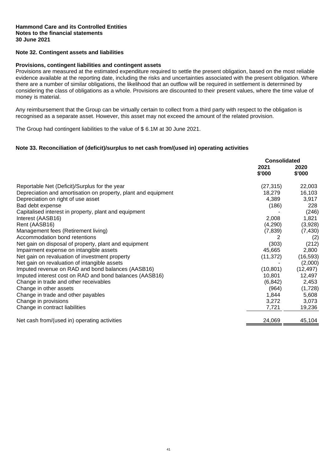## **Note 32. Contingent assets and liabilities**

#### **Provisions, contingent liabilities and contingent assets**

Provisions are measured at the estimated expenditure required to settle the present obligation, based on the most reliable evidence available at the reporting date, including the risks and uncertainties associated with the present obligation. Where there are a number of similar obligations, the likelihood that an outflow will be required in settlement is determined by considering the class of obligations as a whole. Provisions are discounted to their present values, where the time value of money is material.

Any reimbursement that the Group can be virtually certain to collect from a third party with respect to the obligation is recognised as a separate asset. However, this asset may not exceed the amount of the related provision.

The Group had contingent liabilities to the value of \$ 6.1M at 30 June 2021.

#### **Note 33. Reconciliation of (deficit)/surplus to net cash from/(used in) operating activities**

|                                                                | <b>Consolidated</b> |                |
|----------------------------------------------------------------|---------------------|----------------|
|                                                                | 2021<br>\$'000      | 2020<br>\$'000 |
|                                                                |                     |                |
| Reportable Net (Deficit)/Surplus for the year                  | (27, 315)           | 22,003         |
| Depreciation and amortisation on property, plant and equipment | 18,279              | 16,103         |
| Depreciation on right of use asset                             | 4,389               | 3,917          |
| Bad debt expense                                               | (186)               | 228            |
| Capitalised interest in property, plant and equipment          |                     | (246)          |
| Interest (AASB16)                                              | 2,008               | 1,821          |
| Rent (AASB16)                                                  | (4,290)             | (3,928)        |
| Management fees (Retirement living)                            | (7, 839)            | (7, 430)       |
| Accommodation bond retentions                                  |                     | (2)            |
| Net gain on disposal of property, plant and equipment          | (303)               | (212)          |
| Impairment expense on intangible assets                        | 45,665              | 2,800          |
| Net gain on revaluation of investment property                 | (11, 372)           | (16, 593)      |
| Net gain on revaluation of intangible assets                   |                     | (2,000)        |
| Imputed revenue on RAD and bond balances (AASB16)              | (10, 801)           | (12, 497)      |
| Imputed interest cost on RAD and bond balances (AASB16)        | 10,801              | 12,497         |
| Change in trade and other receivables                          | (6, 842)            | 2,453          |
| Change in other assets                                         | (964)               | (1,728)        |
| Change in trade and other payables                             | 1,844               | 5,608          |
| Change in provisions                                           | 3,272               | 3,073          |
| Change in contract liabilities                                 | 7,721               | 19,236         |
| Net cash from/(used in) operating activities                   | 24,069              | 45,104         |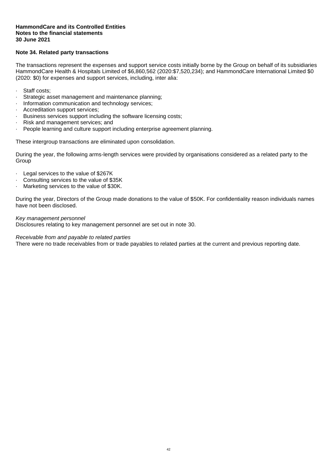## **Note 34. Related party transactions**

The transactions represent the expenses and support service costs initially borne by the Group on behalf of its subsidiaries HammondCare Health & Hospitals Limited of \$6,860,562 (2020:\$7,520,234); and HammondCare International Limited \$0 (2020: \$0) for expenses and support services, including, inter alia:

- · Staff costs;
- · Strategic asset management and maintenance planning;
- · Information communication and technology services;
- · Accreditation support services;
- · Business services support including the software licensing costs;
- · Risk and management services; and
- · People learning and culture support including enterprise agreement planning.

These intergroup transactions are eliminated upon consolidation.

During the year, the following arms-length services were provided by organisations considered as a related party to the **Group** 

- · Legal services to the value of \$267K
- Consulting services to the value of \$35K
- Marketing services to the value of \$30K.

During the year, Directors of the Group made donations to the value of \$50K. For confidentiality reason individuals names have not been disclosed.

#### *Key management personnel*

Disclosures relating to key management personnel are set out in note 30.

#### *Receivable from and payable to related parties*

There were no trade receivables from or trade payables to related parties at the current and previous reporting date.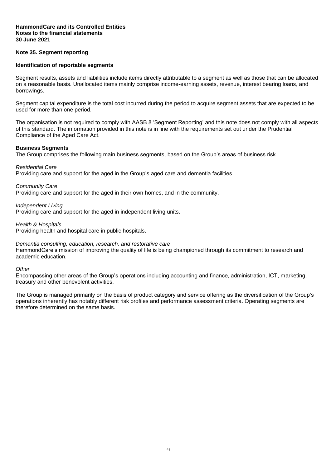## **Note 35. Segment reporting**

#### **Identification of reportable segments**

Segment results, assets and liabilities include items directly attributable to a segment as well as those that can be allocated on a reasonable basis. Unallocated items mainly comprise income-earning assets, revenue, interest bearing loans, and borrowings.

Segment capital expenditure is the total cost incurred during the period to acquire segment assets that are expected to be used for more than one period.

The organisation is not required to comply with AASB 8 'Segment Reporting' and this note does not comply with all aspects of this standard. The information provided in this note is in line with the requirements set out under the Prudential Compliance of the Aged Care Act.

#### **Business Segments**

The Group comprises the following main business segments, based on the Group's areas of business risk.

*Residential Care*

Providing care and support for the aged in the Group's aged care and dementia facilities.

*Community Care*

Providing care and support for the aged in their own homes, and in the community.

*Independent Living*

Providing care and support for the aged in independent living units.

*Health & Hospitals*

Providing health and hospital care in public hospitals.

#### *Dementia consulting, education, research, and restorative care*

HammondCare's mission of improving the quality of life is being championed through its commitment to research and academic education.

*Other*

Encompassing other areas of the Group's operations including accounting and finance, administration, ICT, marketing, treasury and other benevolent activities.

The Group is managed primarily on the basis of product category and service offering as the diversification of the Group's operations inherently has notably different risk profiles and performance assessment criteria. Operating segments are therefore determined on the same basis.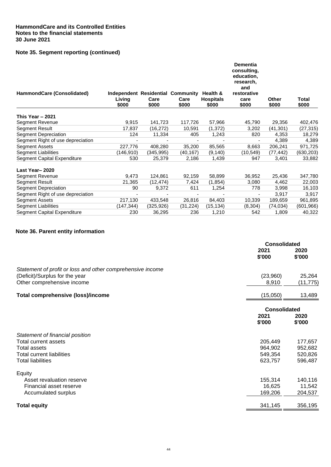## **Note 35. Segment reporting (continued)**

|                                   |                                                      |               |               |                                       | <b>Dementia</b><br>consulting,<br>education,<br>research,<br>and |                       |                |
|-----------------------------------|------------------------------------------------------|---------------|---------------|---------------------------------------|------------------------------------------------------------------|-----------------------|----------------|
| HammondCare (Consolidated)        | Independent Residential Community<br>Living<br>\$000 | Care<br>\$000 | Care<br>\$000 | Health &<br><b>Hospitals</b><br>\$000 | restorative<br>care<br>\$000                                     | <b>Other</b><br>\$000 | Total<br>\$000 |
| This Year $-2021$                 |                                                      |               |               |                                       |                                                                  |                       |                |
| Segment Revenue                   | 9,915                                                | 141,723       | 117,726       | 57,966                                | 45,790                                                           | 29,356                | 402,476        |
| Segment Result                    | 17,837                                               | (16, 272)     | 10,591        | (1, 372)                              | 3,202                                                            | (41, 301)             | (27, 315)      |
| <b>Segment Depreciation</b>       | 124                                                  | 11,334        | 405           | 1,243                                 | 820                                                              | 4,353                 | 18,279         |
| Segment Right of use depreciation |                                                      |               |               |                                       |                                                                  | 4,389                 | 4,389          |
| <b>Segment Assets</b>             | 227,776                                              | 408,280       | 35,200        | 85,565                                | 8,663                                                            | 206,241               | 971,725        |
| <b>Segment Liabilities</b>        | (146,910)                                            | (345,995)     | (40,167)      | (9, 140)                              | (10,549)                                                         | (77, 442)             | (630, 203)     |
| Segment Capital Expenditure       | 530                                                  | 25,379        | 2,186         | 1,439                                 | 947                                                              | 3,401                 | 33,882         |
| Last Year-2020                    |                                                      |               |               |                                       |                                                                  |                       |                |
| Segment Revenue                   | 9,473                                                | 124,861       | 92,159        | 58,899                                | 36,952                                                           | 25,436                | 347,780        |
| <b>Segment Result</b>             | 21,365                                               | (12, 474)     | 7,424         | (1, 854)                              | 3,080                                                            | 4,462                 | 22,003         |
| <b>Segment Depreciation</b>       | 90                                                   | 9,372         | 611           | 1,254                                 | 778                                                              | 3,998                 | 16,103         |
| Segment Right of use depreciation |                                                      |               |               |                                       |                                                                  | 3,917                 | 3,917          |
| Segment Assets                    | 217,130                                              | 433,548       | 26,816        | 84,403                                | 10,339                                                           | 189,659               | 961,895        |
| <b>Segment Liabilities</b>        | (147,344)                                            | (325,926)     | (31,224)      | (15, 134)                             | (8,304)                                                          | (74, 034)             | (601, 966)     |
| Segment Capital Expenditure       | 230                                                  | 36,295        | 236           | 1,210                                 | 542                                                              | 1,809                 | 40,322         |

## **Note 36. Parent entity information**

|                                                              |                     | <b>Consolidated</b> |  |
|--------------------------------------------------------------|---------------------|---------------------|--|
|                                                              | 2021<br>\$'000      | 2020<br>\$'000      |  |
| Statement of profit or loss and other comprehensive income   |                     |                     |  |
| (Deficit)/Surplus for the year<br>Other comprehensive income | (23,960)<br>8,910   | 25,264<br>(11, 775) |  |
| <b>Total comprehensive (loss)/income</b>                     | (15,050)            | 13,489              |  |
|                                                              | <b>Consolidated</b> |                     |  |
|                                                              | 2021<br>\$'000      | 2020<br>\$'000      |  |
| Statement of financial position                              |                     |                     |  |
| Total current assets                                         | 205,449             | 177,657             |  |
| Total assets                                                 | 964,902             | 952,682             |  |
| Total current liabilities                                    | 549,354             | 520,826             |  |
| <b>Total liabilities</b>                                     | 623,757             | 596,487             |  |
| Equity                                                       |                     |                     |  |
| Asset revaluation reserve                                    | 155,314             | 140,116             |  |
| Financial asset reserve                                      | 16,625              | 11,542              |  |
| Accumulated surplus                                          | 169,206             | 204,537             |  |
| <b>Total equity</b>                                          | 341,145             | 356,195             |  |
|                                                              |                     |                     |  |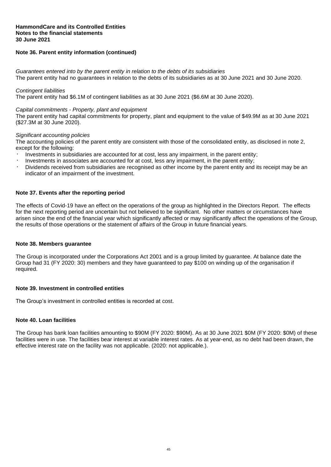### **HammondCare and its Controlled Entities Notes to the financial statements 30 June 2021**

## **Note 36. Parent entity information (continued)**

*Guarantees entered into by the parent entity in relation to the debts of its subsidiaries* The parent entity had no guarantees in relation to the debts of its subsidiaries as at 30 June 2021 and 30 June 2020.

#### *Contingent liabilities*

The parent entity had \$6.1M of contingent liabilities as at 30 June 2021 (\$6.6M at 30 June 2020).

#### *Capital commitments - Property, plant and equipment*

The parent entity had capital commitments for property, plant and equipment to the value of \$49.9M as at 30 June 2021 (\$27.3M at 30 June 2020).

#### *Significant accounting policies*

The accounting policies of the parent entity are consistent with those of the consolidated entity, as disclosed in note 2, except for the following:

- Investments in subsidiaries are accounted for at cost, less any impairment, in the parent entity;
- Investments in associates are accounted for at cost, less any impairment, in the parent entity;
- Dividends received from subsidiaries are recognised as other income by the parent entity and its receipt may be an indicator of an impairment of the investment.

#### **Note 37. Events after the reporting period**

The effects of Covid-19 have an effect on the operations of the group as highlighted in the Directors Report. The effects for the next reporting period are uncertain but not believed to be significant. No other matters or circumstances have arisen since the end of the financial year which significantly affected or may significantly affect the operations of the Group, the results of those operations or the statement of affairs of the Group in future financial years.

#### **Note 38. Members guarantee**

The Group is incorporated under the Corporations Act 2001 and is a group limited by guarantee. At balance date the Group had 31 (FY 2020: 30) members and they have guaranteed to pay \$100 on winding up of the organisation if required.

## **Note 39. Investment in controlled entities**

The Group's investment in controlled entities is recorded at cost.

## **Note 40. Loan facilities**

The Group has bank loan facilities amounting to \$90M (FY 2020: \$90M). As at 30 June 2021 \$0M (FY 2020: \$0M) of these facilities were in use. The facilities bear interest at variable interest rates. As at year-end, as no debt had been drawn, the effective interest rate on the facility was not applicable. (2020: not applicable.).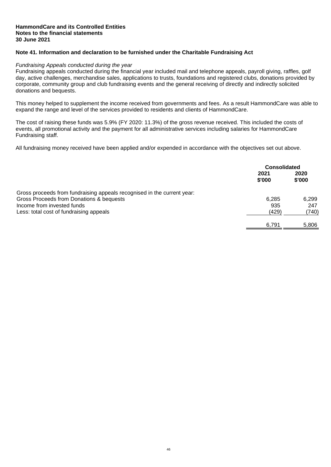#### **HammondCare and its Controlled Entities Notes to the financial statements 30 June 2021**

## **Note 41. Information and declaration to be furnished under the Charitable Fundraising Act**

#### *Fundraising Appeals conducted during the year*

Fundraising appeals conducted during the financial year included mail and telephone appeals, payroll giving, raffles, golf day, active challenges, merchandise sales, applications to trusts, foundations and registered clubs, donations provided by corporate, community group and club fundraising events and the general receiving of directly and indirectly solicited donations and bequests.

This money helped to supplement the income received from governments and fees. As a result HammondCare was able to expand the range and level of the services provided to residents and clients of HammondCare.

The cost of raising these funds was 5.9% (FY 2020: 11.3%) of the gross revenue received. This included the costs of events, all promotional activity and the payment for all administrative services including salaries for HammondCare Fundraising staff.

All fundraising money received have been applied and/or expended in accordance with the objectives set out above.

|                                                                         | <b>Consolidated</b> |                |
|-------------------------------------------------------------------------|---------------------|----------------|
|                                                                         | 2021<br>\$'000      | 2020<br>\$'000 |
| Gross proceeds from fundraising appeals recognised in the current year: |                     |                |
| Gross Proceeds from Donations & bequests                                | 6.285               | 6.299          |
| Income from invested funds                                              | 935                 | 247            |
| Less: total cost of fundraising appeals                                 | (429)               | (740)          |
|                                                                         | 6.791               | 5.806          |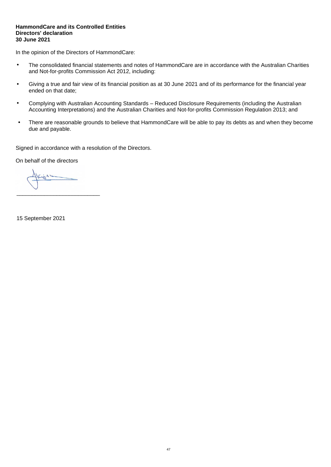In the opinion of the Directors of HammondCare:

- The consolidated financial statements and notes of HammondCare are in accordance with the Australian Charities and Not-for-profits Commission Act 2012, including:
- Giving a true and fair view of its financial position as at 30 June 2021 and of its performance for the financial year ended on that date;
- Complying with Australian Accounting Standards Reduced Disclosure Requirements (including the Australian Accounting Interpretations) and the Australian Charities and Not-for-profits Commission Regulation 2013; and
- There are reasonable grounds to believe that HammondCare will be able to pay its debts as and when they become due and payable.

Signed in accordance with a resolution of the Directors.

On behalf of the directors

\_\_\_\_\_\_\_\_\_\_\_\_\_\_\_\_\_\_\_\_\_\_\_\_\_\_\_

15 September 2021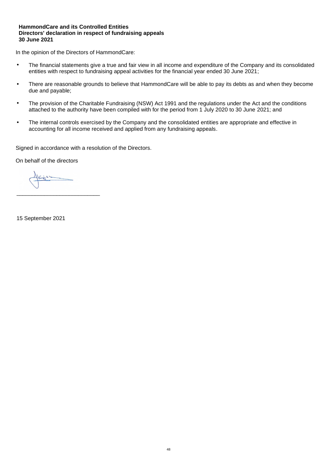## **HammondCare and its Controlled Entities Directors' declaration in respect of fundraising appeals 30 June 2021**

In the opinion of the Directors of HammondCare:

- The financial statements give a true and fair view in all income and expenditure of the Company and its consolidated entities with respect to fundraising appeal activities for the financial year ended 30 June 2021;
- There are reasonable grounds to believe that HammondCare will be able to pay its debts as and when they become due and payable;
- The provision of the Charitable Fundraising (NSW) Act 1991 and the regulations under the Act and the conditions attached to the authority have been compiled with for the period from 1 July 2020 to 30 June 2021; and
- The internal controls exercised by the Company and the consolidated entities are appropriate and effective in accounting for all income received and applied from any fundraising appeals.

Signed in accordance with a resolution of the Directors.

On behalf of the directors

\_\_\_\_\_\_\_\_\_\_\_\_\_\_\_\_\_\_\_\_\_\_\_\_\_\_\_

15 September 2021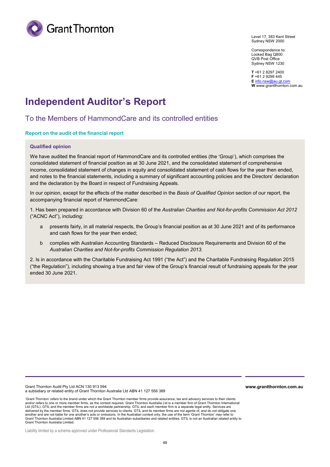

Level 17, 383 Kent Street Sydney NSW 2000

Correspondence to: Locked Bag Q800 QVB Post Office Sydney NSW 1230

**T** +61 2 8297 2400 **F** +61 2 9299 445 **E** info.nsw@au.gt.com **W** www.grantthornton.com.au

# **Independent Auditor's Report**

## To the Members of HammondCare and its controlled entities

## **Report on the audit of the financial report**

#### **Qualified opinion**

We have audited the financial report of HammondCare and its controlled entities (the 'Group'), which comprises the consolidated statement of financial position as at 30 June 2021, and the consolidated statement of comprehensive income, consolidated statement of changes in equity and consolidated statement of cash flows for the year then ended, and notes to the financial statements, including a summary of significant accounting policies and the Directors' declaration and the declaration by the Board in respect of Fundraising Appeals.

In our opinion, except for the effects of the matter described in the *Basis of Qualified Opinion* section of our report, the accompanying financial report of HammondCare:

1. Has been prepared in accordance with Division 60 of the *Australian Charities and Not-for-profits Commission Act 2012*  ("ACNC Act"), including:

- a presents fairly, in all material respects, the Group's financial position as at 30 June 2021 and of its performance and cash flows for the year then ended;
- b complies with Australian Accounting Standards Reduced Disclosure Requirements and Division 60 of the *Australian Charities and Not-for-profits Commission Regulation 2013.*

2. Is in accordance with the Charitable Fundraising Act 1991 ("the Act") and the Charitable Fundraising Regulation 2015 ("the Regulation"), including showing a true and fair view of the Group's financial result of fundraising appeals for the year ended 30 June 2021.

Grant Thornton Audit Pty Ltd ACN 130 913 594 a subsidiary or related entity of Grant Thornton Australia Ltd ABN 41 127 556 389

'Grant Thornton' refers to the brand under which the Grant Thornton member firms provide assurance, tax and advisory services to their clients and/or refers to one or more member firms, as the context requires. Grant Thornton Australia Ltd is a member firm of Grant Thornton International Ltd (GTIL). GTIL and the member firms are not a worldwide partnership. GTIL and each member firm is a separate legal entity. Services are delivered by the member firms. GTIL does not provide services to clients. GTIL and its member firms are not agents of, and do not obligate one another and are not liable for one another's acts or omissions. In the Australian context only, the use of the term 'Grant Thornton' may refer to<br>Grant Thornton Australia Limited ABN 41 127 556 389 and its Australian subsi Grant Thornton Australia Limited.

Liability limited by a scheme approved under Professional Standards Legislation.

**www.grantthornton.com.au**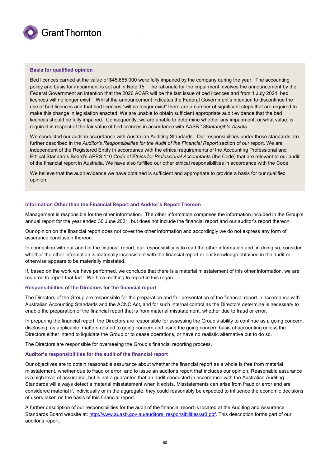

#### **Basis for qualified opinion**

Bed licences carried at the value of \$45,665,000 were fully impaired by the company during the year. The accounting policy and basis for impairment is set out in Note 15. The rationale for the impairment involves the announcement by the Federal Government an intention that the 2020 ACAR will be the last issue of bed licences and from 1 July 2024, bed licences will no longer exist. Whilst the announcement indicates the Federal Government's intention to discontinue the use of bed licences and that bed licences "will no longer exist" there are a number of significant steps that are required to make this change in legislation enacted. We are unable to obtain sufficient appropriate audit evidence that the bed licences should be fully impaired. Consequently, we are unable to determine whether any impairment, or what value, is required in respect of the fair value of bed licences in accordance with AASB 138*Intangible Assets*.

We conducted our audit in accordance with Australian Auditing Standards. Our responsibilities under those standards are further described in the *Auditor's Responsibilities for the Audit of the Financial Report* section of our report. We are independent of the Registered Entity in accordance with the ethical requirements of the Accounting Professional and Ethical Standards Board's APES 110 *Code of Ethics for Professional Accountants* (the Code) that are relevant to our audit of the financial report in Australia. We have also fulfilled our other ethical responsibilities in accordance with the Code.

We believe that the audit evidence we have obtained is sufficient and appropriate to provide a basis for our qualified opinion.

#### **Information Other than the Financial Report and Auditor's Report Thereon**

Management is responsible for the other information. The other information comprises the information included in the Group's annual report for the year ended 30 June 2021, but does not include the financial report and our auditor's report thereon.

Our opinion on the financial report does not cover the other information and accordingly we do not express any form of assurance conclusion thereon.

In connection with our audit of the financial report, our responsibility is to read the other information and, in doing so, consider whether the other information is materially inconsistent with the financial report or our knowledge obtained in the audit or otherwise appears to be materially misstated.

If, based on the work we have performed, we conclude that there is a material misstatement of this other information, we are required to report that fact. We have nothing to report in this regard.

#### **Responsibilities of the Directors for the financial report**

The Directors of the Group are responsible for the preparation and fair presentation of the financial report in accordance with Australian Accounting Standards and the ACNC Act, and for such internal control as the Directors determine is necessary to enable the preparation of the financial report that is from material misstatement, whether due to fraud or error.

In preparing the financial report, the Directors are responsible for assessing the Group's ability to continue as a going concern, disclosing, as applicable, matters related to going concern and using the going concern basis of accounting unless the Directors either intend to liquidate the Group or to cease operations, or have no realistic alternative but to do so.

The Directors are responsible for overseeing the Group's financial reporting process.

#### **Auditor's responsibilities for the audit of the financial report**

Our objectives are to obtain reasonable assurance about whether the financial report as a whole is free from material misstatement, whether due to fraud or error, and to issue an auditor's report that includes our opinion. Reasonable assurance is a high level of assurance, but is not a guarantee that an audit conducted in accordance with the Australian Auditing Standards will always detect a material misstatement when it exists. Misstatements can arise from fraud or error and are considered material if, individually or in the aggregate, they could reasonably be expected to influence the economic decisions of users taken on the basis of this financial report.

A further description of our responsibilities for the audit of the financial report is located at the Auditing and Assurance Standards Board website at: http://www.auasb.gov.au/auditors\_responsibilities/ar3.pdf. This description forms part of our auditor's report.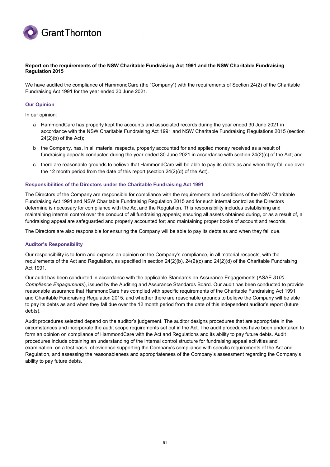

#### **Report on the requirements of the NSW Charitable Fundraising Act 1991 and the NSW Charitable Fundraising Regulation 2015**

We have audited the compliance of HammondCare (the "Company") with the requirements of Section 24(2) of the Charitable Fundraising Act 1991 for the year ended 30 June 2021.

#### **Our Opinion**

In our opinion:

- a HammondCare has properly kept the accounts and associated records during the year ended 30 June 2021 in accordance with the NSW Charitable Fundraising Act 1991 and NSW Charitable Fundraising Regulations 2015 (section 24(2)(b) of the Act);
- b the Company, has, in all material respects, properly accounted for and applied money received as a result of fundraising appeals conducted during the year ended 30 June 2021 in accordance with section 24(2)(c) of the Act; and
- c there are reasonable grounds to believe that HammondCare will be able to pay its debts as and when they fall due over the 12 month period from the date of this report (section 24(2)(d) of the Act).

#### **Responsibilities of the Directors under the Charitable Fundraising Act 1991**

The Directors of the Company are responsible for compliance with the requirements and conditions of the NSW Charitable Fundraising Act 1991 and NSW Charitable Fundraising Regulation 2015 and for such internal control as the Directors determine is necessary for compliance with the Act and the Regulation. This responsibility includes establishing and maintaining internal control over the conduct of all fundraising appeals; ensuring all assets obtained during, or as a result of, a fundraising appeal are safeguarded and properly accounted for; and maintaining proper books of account and records.

The Directors are also responsible for ensuring the Company will be able to pay its debts as and when they fall due.

#### **Auditor's Responsibility**

Our responsibility is to form and express an opinion on the Company's compliance, in all material respects, with the requirements of the Act and Regulation, as specified in section 24(2)(b), 24(2)(c) and 24(2)(d) of the Charitable Fundraising Act 1991.

Our audit has been conducted in accordance with the applicable Standards on Assurance Engagements (ASAE *3100 Compliance Engagements*), issued by the Auditing and Assurance Standards Board. Our audit has been conducted to provide reasonable assurance that HammondCare has complied with specific requirements of the Charitable Fundraising Act 1991 and Charitable Fundraising Regulation 2015, and whether there are reasonable grounds to believe the Company will be able to pay its debts as and when they fall due over the 12 month period from the date of this independent auditor's report (future debts).

Audit procedures selected depend on the auditor's judgement. The auditor designs procedures that are appropriate in the circumstances and incorporate the audit scope requirements set out in the Act. The audit procedures have been undertaken to form an opinion on compliance of HammondCare with the Act and Regulations and its ability to pay future debts. Audit procedures include obtaining an understanding of the internal control structure for fundraising appeal activities and examination, on a test basis, of evidence supporting the Company's compliance with specific requirements of the Act and Regulation, and assessing the reasonableness and appropriateness of the Company's assessment regarding the Company's ability to pay future debts.